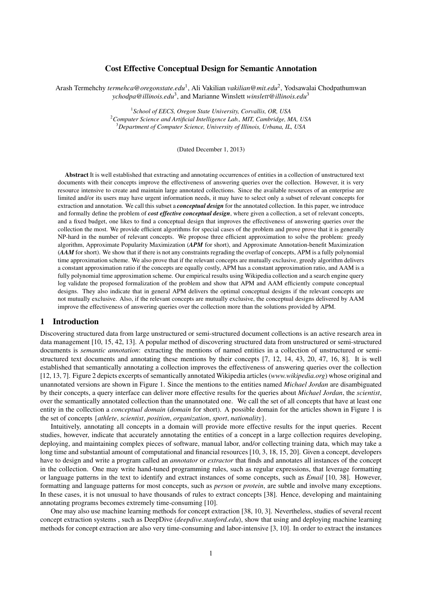# Cost Effective Conceptual Design for Semantic Annotation

Arash Termehchy *termehca@oregonstate.edu*<sup>1</sup> , Ali Vakilian *vakilian@mit.edu*<sup>2</sup> , Yodsawalai Chodpathumwan *ychodpa@illinois.edu*<sup>3</sup> , and Marianne Winslett *winslett@illinois.edu*<sup>3</sup>

> 1 *School of EECS, Oregon State University, Corvallis, OR, USA* <sup>2</sup>*Computer Science and Artificial Intelligence Lab., MIT, Cambridge, MA, USA* <sup>3</sup>*Department of Computer Science, University of Illinois, Urbana, IL, USA*

> > (Dated December 1, 2013)

Abstract It is well established that extracting and annotating occurrences of entities in a collection of unstructured text documents with their concepts improve the effectiveness of answering queries over the collection. However, it is very resource intensive to create and maintain large annotated collections. Since the available resources of an enterprise are limited and/or its users may have urgent information needs, it may have to select only a subset of relevant concepts for extraction and annotation. We call this subset a *conceptual design* for the annotated collection. In this paper, we introduce and formally define the problem of *cost effective conceptual design*, where given a collection, a set of relevant concepts, and a fixed budget, one likes to find a conceptual design that improves the effectiveness of answering queries over the collection the most. We provide efficient algorithms for special cases of the problem and prove prove that it is generally NP-hard in the number of relevant concepts. We propose three efficient approximation to solve the problem: greedy algorithm, Approximate Popularity Maximization (*APM* for short), and Approximate Annotation-benefit Maximization (*AAM* for short). We show that if there is not any constraints regrading the overlap of concepts, APM is a fully polynomial time approximation scheme. We also prove that if the relevant concepts are mutually exclusive, greedy algorithm delivers a constant approximation ratio if the concepts are equally costly, APM has a constant approximation ratio, and AAM is a fully polynomial time approximation scheme. Our empirical results using Wikipedia collection and a search engine query log validate the proposed formalization of the problem and show that APM and AAM efficiently compute conceptual designs. They also indicate that in general APM delivers the optimal conceptual designs if the relevant concepts are not mutually exclusive. Also, if the relevant concepts are mutually exclusive, the conceptual designs delivered by AAM improve the effectiveness of answering queries over the collection more than the solutions provided by APM.

### 1 Introduction

Discovering structured data from large unstructured or semi-structured document collections is an active research area in data management [10, 15, 42, 13]. A popular method of discovering structured data from unstructured or semi-structured documents is *semantic annotation*: extracting the mentions of named entities in a collection of unstructured or semistructured text documents and annotating these mentions by their concepts [7, 12, 14, 43, 20, 47, 16, 8]. It is well established that semantically annotating a collection improves the effectiveness of answering queries over the collection [12, 13, 7]. Figure 2 depicts excerpts of semantically annotated Wikipedia articles (*www.wikipedia.org*) whose original and unannotated versions are shown in Figure 1. Since the mentions to the entities named *Michael Jordan* are disambiguated by their concepts, a query interface can deliver more effective results for the queries about *Michael Jordan*, the *scientist*, over the semantically annotated collection than the unannotated one. We call the set of all concepts that have at least one entity in the collection a *conceptual domain* (*domain* for short). A possible domain for the articles shown in Figure 1 is the set of concepts {*athlete*, *scientist*, *position*, *organization*, *sport*, *nationality*}.

Intuitively, annotating all concepts in a domain will provide more effective results for the input queries. Recent studies, however, indicate that accurately annotating the entities of a concept in a large collection requires developing, deploying, and maintaining complex pieces of software, manual labor, and/or collecting training data, which may take a long time and substantial amount of computational and financial resources [10, 3, 18, 15, 20]. Given a concept, developers have to design and write a program called an *annotator* or *extractor* that finds and annotates all instances of the concept in the collection. One may write hand-tuned programming rules, such as regular expressions, that leverage formatting or language patterns in the text to identify and extract instances of some concepts, such as *Email* [10, 38]. However, formatting and language patterns for most concepts, such as *person* or *protein*, are subtle and involve many exceptions. In these cases, it is not unusual to have thousands of rules to extract concepts [38]. Hence, developing and maintaining annotating programs becomes extremely time-consuming [10].

One may also use machine learning methods for concept extraction [38, 10, 3]. Nevertheless, studies of several recent concept extraction systems , such as DeepDive (*deepdive.stanford.edu*), show that using and deploying machine learning methods for concept extraction are also very time-consuming and labor-intensive [3, 10]. In order to extract the instances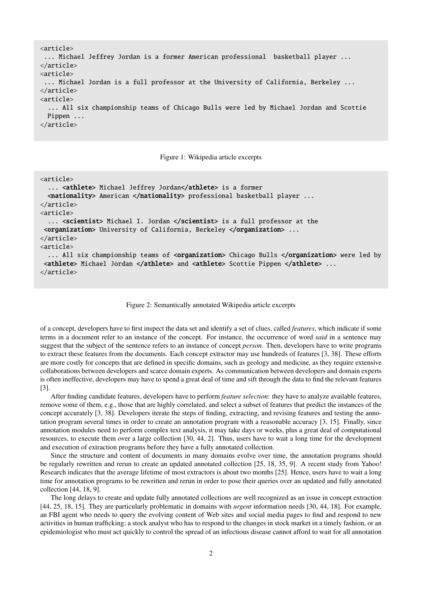```
<article>
... Michael Jeffrey Jordan is a former American professional basketball player ...
</article>
<article>
 ... Michael Jordan is a full professor at the University of California, Berkeley ...
</article>
<article>
  ... All six championship teams of Chicago Bulls were led by Michael Jordan and Scottie
 Pippen ...
</article>
```
Figure 1: Wikipedia article excerpts

| $\langle$ article $\rangle$                                                            |
|----------------------------------------------------------------------------------------|
| <athlete> Michael Jeffrey Jordan</athlete> is a former                                 |
| <nationality> American </nationality> professional basketball player                   |
| $\langle$ article $\rangle$                                                            |
| $\langle$ article $\rangle$                                                            |
| <scientist> Michael I. Jordan </scientist> is a full professor at the                  |
| <organization> University of California, Berkeley </organization>                      |
| $\langle$ article $\rangle$                                                            |
| $\langle$ article $\rangle$                                                            |
| All six championship teams of <organization> Chicago Bulls </organization> were led by |
| <athlete> Michael Jordan </athlete> and <athlete> Scottie Pippen </athlete>            |
| $\langle$ article $\rangle$                                                            |

Figure 2: Semantically annotated Wikipedia article excerpts

of a concept, developers have to first inspect the data set and identify a set of clues, called *features*, which indicate if some terms in a document refer to an instance of the concept. For instance, the occurrence of word *said* in a sentence may suggest that the subject of the sentence refers to an instance of concept *person*. Then, developers have to write programs to extract these features from the documents. Each concept extractor may use hundreds of features [3, 38]. These efforts are more costly for concepts that are defined in specific domains, such as geology and medicine, as they require extensive collaborations between developers and scarce domain experts. As communication between developers and domain experts is often ineffective, developers may have to spend a great deal of time and sift through the data to find the relevant features [3].

After finding candidate features, developers have to perform *feature selection*: they have to analyze available features, remove some of them, e.g., those that are highly correlated, and select a subset of features that predict the instances of the concept accurately [3, 38]. Developers iterate the steps of finding, extracting, and revising features and testing the annotation program several times in order to create an annotation program with a reasonable accuracy [3, 15]. Finally, since annotation modules need to perform complex text analysis, it may take days or weeks, plus a great deal of computational resources, to execute them over a large collection [30, 44, 2]. Thus, users have to wait a long time for the development and execution of extraction programs before they have a fully annotated collection.

Since the structure and content of documents in many domains evolve over time, the annotation programs should be regularly rewritten and rerun to create an updated annotated collection [25, 18, 35, 9]. A recent study from Yahoo! Research indicates that the average lifetime of most extractors is about two months [25]. Hence, users have to wait a long time for annotation programs to be rewritten and rerun in order to pose their queries over an updated and fully annotated collection [44, 18, 9].

The long delays to create and update fully annotated collections are well recognized as an issue in concept extraction [44, 25, 18, 15]. They are particularly problematic in domains with *urgent* information needs [30, 44, 18]. For example, an FBI agent who needs to query the evolving content of Web sites and social media pages to find and respond to new activities in human trafficking; a stock analyst who has to respond to the changes in stock market in a timely fashion, or an epidemiologist who must act quickly to control the spread of an infectious disease cannot afford to wait for all annotation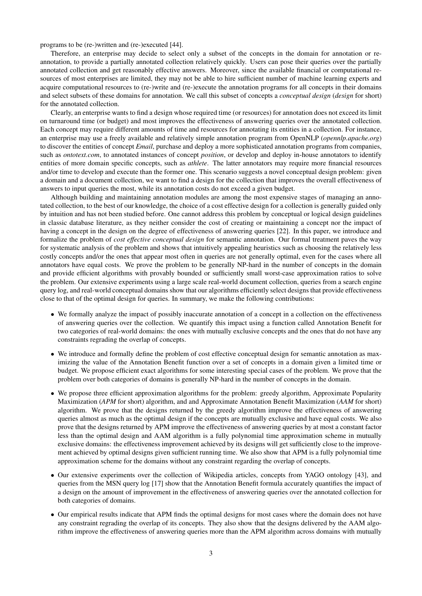programs to be (re-)written and (re-)executed [44].

Therefore, an enterprise may decide to select only a subset of the concepts in the domain for annotation or reannotation, to provide a partially annotated collection relatively quickly. Users can pose their queries over the partially annotated collection and get reasonably effective answers. Moreover, since the available financial or computational resources of most enterprises are limited, they may not be able to hire sufficient number of machine learning experts and acquire computational resources to (re-)write and (re-)execute the annotation programs for all concepts in their domains and select subsets of these domains for annotation. We call this subset of concepts a *conceptual design* (*design* for short) for the annotated collection.

Clearly, an enterprise wants to find a design whose required time (or resources) for annotation does not exceed its limit on turnaround time (or budget) and most improves the effectiveness of answering queries over the annotated collection. Each concept may require different amounts of time and resources for annotating its entities in a collection. For instance, an enterprise may use a freely available and relatively simple annotation program from OpenNLP (*opennlp.apache.org*) to discover the entities of concept *Email*, purchase and deploy a more sophisticated annotation programs from companies, such as *ontotext.com*, to annotated instances of concept *position*, or develop and deploy in-house annotators to identify entities of more domain specific concepts, such as *athlete*. The latter annotators may require more financial resources and/or time to develop and execute than the former one. This scenario suggests a novel conceptual design problem: given a domain and a document collection, we want to find a design for the collection that improves the overall effectiveness of answers to input queries the most, while its annotation costs do not exceed a given budget.

Although building and maintaining annotation modules are among the most expensive stages of managing an annotated collection, to the best of our knowledge, the choice of a cost effective design for a collection is generally guided only by intuition and has not been studied before. One cannot address this problem by conceptual or logical design guidelines in classic database literature, as they neither consider the cost of creating or maintaining a concept nor the impact of having a concept in the design on the degree of effectiveness of answering queries [22]. In this paper, we introduce and formalize the problem of *cost effective conceptual design* for semantic annotation. Our formal treatment paves the way for systematic analysis of the problem and shows that intuitively appealing heuristics such as choosing the relatively less costly concepts and/or the ones that appear most often in queries are not generally optimal, even for the cases where all annotators have equal costs. We prove the problem to be generally NP-hard in the number of concepts in the domain and provide efficient algorithms with provably bounded or sufficiently small worst-case approximation ratios to solve the problem. Our extensive experiments using a large scale real-world document collection, queries from a search engine query log, and real-world conceptual domains show that our algorithms efficiently select designs that provide effectiveness close to that of the optimal design for queries. In summary, we make the following contributions:

- We formally analyze the impact of possibly inaccurate annotation of a concept in a collection on the effectiveness of answering queries over the collection. We quantify this impact using a function called Annotation Benefit for two categories of real-world domains: the ones with mutually exclusive concepts and the ones that do not have any constraints regrading the overlap of concepts.
- We introduce and formally define the problem of cost effective conceptual design for semantic annotation as maximizing the value of the Annotation Benefit function over a set of concepts in a domain given a limited time or budget. We propose efficient exact algorithms for some interesting special cases of the problem. We prove that the problem over both categories of domains is generally NP-hard in the number of concepts in the domain.
- We propose three efficient approximation algorithms for the problem: greedy algorithm, Approximate Popularity Maximization (*APM* for short) algorithm, and and Approximate Annotation Benefit Maximization (*AAM* for short) algorithm. We prove that the designs returned by the greedy algorithm improve the effectiveness of answering queries almost as much as the optimal design if the concepts are mutually exclusive and have equal costs. We also prove that the designs returned by APM improve the effectiveness of answering queries by at most a constant factor less than the optimal design and AAM algorithm is a fully polynomial time approximation scheme in mutually exclusive domains: the effectiveness improvement achieved by its designs will get sufficiently close to the improvement achieved by optimal designs given sufficient running time. We also show that APM is a fully polynomial time approximation scheme for the domains without any constraint regarding the overlap of concepts.
- Our extensive experiments over the collection of Wikipedia articles, concepts from YAGO ontology [43], and queries from the MSN query log [17] show that the Annotation Benefit formula accurately quantifies the impact of a design on the amount of improvement in the effectiveness of answering queries over the annotated collection for both categories of domains.
- Our empirical results indicate that APM finds the optimal designs for most cases where the domain does not have any constraint regrading the overlap of its concepts. They also show that the designs delivered by the AAM algorithm improve the effectiveness of answering queries more than the APM algorithm across domains with mutually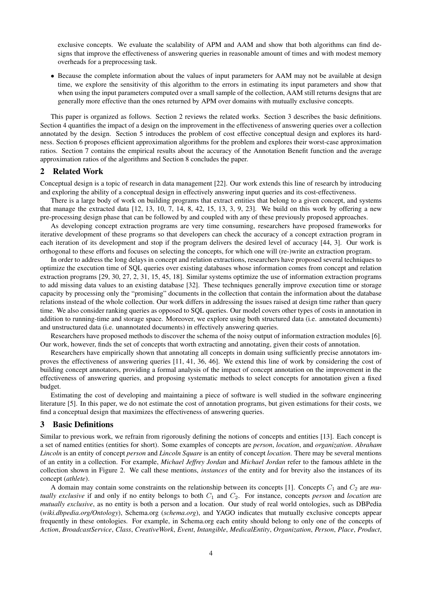exclusive concepts. We evaluate the scalability of APM and AAM and show that both algorithms can find designs that improve the effectiveness of answering queries in reasonable amount of times and with modest memory overheads for a preprocessing task.

• Because the complete information about the values of input parameters for AAM may not be available at design time, we explore the sensitivity of this algorithm to the errors in estimating its input parameters and show that when using the input parameters computed over a small sample of the collection, AAM still returns designs that are generally more effective than the ones returned by APM over domains with mutually exclusive concepts.

This paper is organized as follows. Section 2 reviews the related works. Section 3 describes the basic definitions. Section 4 quantifies the impact of a design on the improvement in the effectiveness of answering queries over a collection annotated by the design. Section 5 introduces the problem of cost effective conceptual design and explores its hardness. Section 6 proposes efficient approximation algorithms for the problem and explores their worst-case approximation ratios. Section 7 contains the empirical results about the accuracy of the Annotation Benefit function and the average approximation ratios of the algorithms and Section 8 concludes the paper.

### 2 Related Work

Conceptual design is a topic of research in data management [22]. Our work extends this line of research by introducing and exploring the ability of a conceptual design in effectively answering input queries and its cost-effectiveness.

There is a large body of work on building programs that extract entities that belong to a given concept, and systems that manage the extracted data [12, 13, 10, 7, 14, 8, 42, 15, 13, 3, 9, 23]. We build on this work by offering a new pre-processing design phase that can be followed by and coupled with any of these previously proposed approaches.

As developing concept extraction programs are very time consuming, researchers have proposed frameworks for iterative development of these programs so that developers can check the accuracy of a concept extraction program in each iteration of its development and stop if the program delivers the desired level of accuracy [44, 3]. Our work is orthogonal to these efforts and focuses on selecting the concepts, for which one will (re-)write an extraction program.

In order to address the long delays in concept and relation extractions, researchers have proposed several techniques to optimize the execution time of SQL queries over existing databases whose information comes from concept and relation extraction programs [29, 30, 27, 2, 31, 15, 45, 18]. Similar systems optimize the use of information extraction programs to add missing data values to an existing database [32]. These techniques generally improve execution time or storage capacity by processing only the "promising" documents in the collection that contain the information about the database relations instead of the whole collection. Our work differs in addressing the issues raised at design time rather than query time. We also consider ranking queries as opposed to SQL queries. Our model covers other types of costs in annotation in addition to running-time and storage space. Moreover, we explore using both structured data (i.e. annotated documents) and unstructured data (i.e. unannotated documents) in effectively answering queries.

Researchers have proposed methods to discover the schema of the noisy output of information extraction modules [6]. Our work, however, finds the set of concepts that worth extracting and annotating, given their costs of annotation.

Researchers have empirically shown that annotating all concepts in domain using sufficiently precise annotators improves the effectiveness of answering queries [11, 41, 36, 46]. We extend this line of work by considering the cost of building concept annotators, providing a formal analysis of the impact of concept annotation on the improvement in the effectiveness of answering queries, and proposing systematic methods to select concepts for annotation given a fixed budget.

Estimating the cost of developing and maintaining a piece of software is well studied in the software engineering literature [5]. In this paper, we do not estimate the cost of annotation programs, but given estimations for their costs, we find a conceptual design that maximizes the effectiveness of answering queries.

### 3 Basic Definitions

Similar to previous work, we refrain from rigorously defining the notions of concepts and entities [13]. Each concept is a set of named entities (entities for short). Some examples of concepts are *person*, *location*, and *organization*. *Abraham Lincoln* is an entity of concept *person* and *Lincoln Square* is an entity of concept *location*. There may be several mentions of an entity in a collection. For example, *Michael Jeffrey Jordan* and *Michael Jordan* refer to the famous athlete in the collection shown in Figure 2. We call these mentions, *instances* of the entity and for brevity also the instances of its concept (*athlete*).

A domain may contain some constraints on the relationship between its concepts [1]. Concepts  $C_1$  and  $C_2$  are *mutually exclusive* if and only if no entity belongs to both  $C_1$  and  $C_2$ . For instance, concepts *person* and *location* are *mutually exclusive*, as no entity is both a person and a location. Our study of real world ontologies, such as DBPedia (*wiki.dbpedia.org/Ontology*), Schema.org (*schema.org*), and YAGO indicates that mutually exclusive concepts appear frequently in these ontologies. For example, in Schema.org each entity should belong to only one of the concepts of *Action*, *BroadcastService*, *Class*, *CreativeWork*, *Event*, *Intangible*, *MedicalEntity*, *Organization*, *Person*, *Place*, *Product*,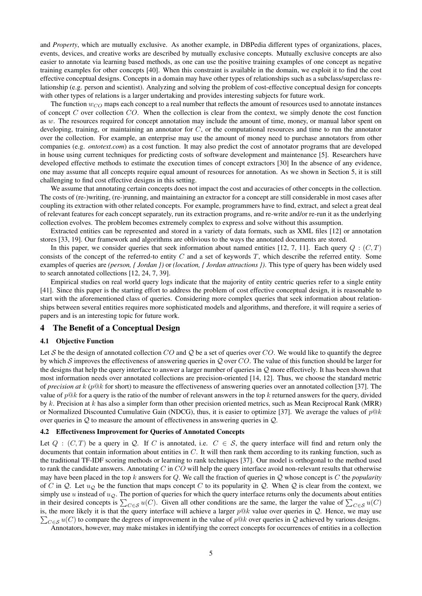and *Property*, which are mutually exclusive. As another example, in DBPedia different types of organizations, places, events, devices, and creative works are described by mutually exclusive concepts. Mutually exclusive concepts are also easier to annotate via learning based methods, as one can use the positive training examples of one concept as negative training examples for other concepts [40]. When this constraint is available in the domain, we exploit it to find the cost effective conceptual designs. Concepts in a domain may have other types of relationships such as a subclass/superclass relationship (e.g. person and scientist). Analyzing and solving the problem of cost-effective conceptual design for concepts with other types of relations is a larger undertaking and provides interesting subjects for future work.

The function  $w_{CO}$  maps each concept to a real number that reflects the amount of resources used to annotate instances of concept  $C$  over collection  $CO$ . When the collection is clear from the context, we simply denote the cost function as w. The resources required for concept annotation may include the amount of time, money, or manual labor spent on developing, training, or maintaining an annotator for  $C$ , or the computational resources and time to run the annotator over the collection. For example, an enterprise may use the amount of money need to purchase annotators from other companies (e.g. *ontotext.com*) as a cost function. It may also predict the cost of annotator programs that are developed in house using current techniques for predicting costs of software development and maintenance [5]. Researchers have developed effective methods to estimate the execution times of concept extractors [30] In the absence of any evidence, one may assume that all concepts require equal amount of resources for annotation. As we shown in Section 5, it is still challenging to find cost effective designs in this setting.

We assume that annotating certain concepts does not impact the cost and accuracies of other concepts in the collection. The costs of (re-)writing, (re-)running, and maintaining an extractor for a concept are still considerable in most cases after coupling its extraction with other related concepts. For example, programmers have to find, extract, and select a great deal of relevant features for each concept separately, run its extraction programs, and re-write and/or re-run it as the underlying collection evolves. The problem becomes extremely complex to express and solve without this assumption.

Extracted entities can be represented and stored in a variety of data formats, such as XML files [12] or annotation stores [33, 19]. Our framework and algorithms are oblivious to the ways the annotated documents are stored.

In this paper, we consider queries that seek information about named entities [12, 7, 11]. Each query  $Q : (C, T)$ consists of the concept of the referred-to entity  $C$  and a set of keywords  $T$ , which describe the referred entity. Some examples of queries are *(person, { Jordan })* or *(location, { Jordan attractions })*. This type of query has been widely used to search annotated collections [12, 24, 7, 39].

Empirical studies on real world query logs indicate that the majority of entity centric queries refer to a single entity [41]. Since this paper is the starting effort to address the problem of cost effective conceptual design, it is reasonable to start with the aforementioned class of queries. Considering more complex queries that seek information about relationships between several entities requires more sophisticated models and algorithms, and therefore, it will require a series of papers and is an interesting topic for future work.

### 4 The Benefit of a Conceptual Design

#### 4.1 Objective Function

Let S be the design of annotated collection CO and Q be a set of queries over CO. We would like to quantify the degree by which S improves the effectiveness of answering queries in Q over  $CO$ . The value of this function should be larger for the designs that help the query interface to answer a larger number of queries in  $Q$  more effectively. It has been shown that most information needs over annotated collections are precision-oriented [14, 12]. Thus, we choose the standard metric of *precision at* k (p@k for short) to measure the effectiveness of answering queries over an annotated collection [37]. The value of  $p@k$  for a query is the ratio of the number of relevant answers in the top k returned answers for the query, divided by k. Precision at k has also a simpler form than other precision oriented metrics, such as Mean Reciprocal Rank (MRR) or Normalized Discounted Cumulative Gain (NDCG), thus, it is easier to optimize [37]. We average the values of  $p@k$ over queries in Q to measure the amount of effectiveness in answering queries in Q.

#### 4.2 Effectiveness Improvement for Queries of Annotated Concepts

Let  $Q : (C, T)$  be a query in Q. If C is annotated, i.e.  $C \in S$ , the query interface will find and return only the documents that contain information about entities in C. It will then rank them according to its ranking function, such as the traditional TF-IDF scoring methods or learning to rank techniques [37]. Our model is orthogonal to the method used to rank the candidate answers. Annotating  $C$  in  $CO$  will help the query interface avoid non-relevant results that otherwise may have been placed in the top k answers for Q. We call the fraction of queries in Q whose concept is C the *popularity* of C in Q. Let  $u_Q$  be the function that maps concept C to its popularity in Q. When Q is clear from the context, we simply use u instead of  $u<sub>Q</sub>$ . The portion of queries for which the query interface returns only the documents about entities in their desired concepts is  $\sum_{C \in \mathcal{S}} u(C)$ . Given all other conditions are the same, the larger the value of  $\sum_{C \in \mathcal{S}} u(C)$ is, the more likely it is that the query interface will achieve a larger  $p@k$  value over queries in  $Q$ . Hence, we may use  $\sum_{C \in \mathcal{S}} u(C)$  to compare the degrees of improvement in the value of  $p@k$  over queries in  $\mathcal Q$  achieved by various designs.

Annotators, however, may make mistakes in identifying the correct concepts for occurrences of entities in a collection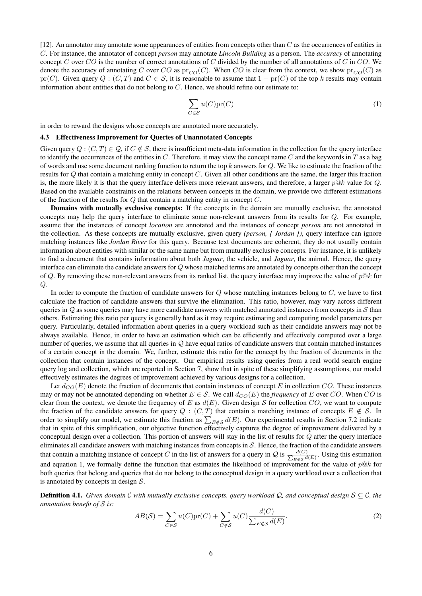[12]. An annotator may annotate some appearances of entities from concepts other than  $C$  as the occurrences of entities in C. For instance, the annotator of concept *person* may annotate *Lincoln Building* as a person. The *accuracy* of annotating concept C over CO is the number of correct annotations of C divided by the number of all annotations of C in CO. We denote the accuracy of annotating C over CO as  $pr_{CO}(C)$ . When CO is clear from the context, we show  $pr_{CO}(C)$  as pr(C). Given query Q :  $(C, T)$  and  $C \in S$ , it is reasonable to assume that  $1 - pr(C)$  of the top k results may contain information about entities that do not belong to  $C$ . Hence, we should refine our estimate to:

$$
\sum_{C \in \mathcal{S}} u(C) \text{pr}(C) \tag{1}
$$

in order to reward the designs whose concepts are annotated more accurately.

### 4.3 Effectiveness Improvement for Queries of Unannotated Concepts

Given query  $Q : (C, T) \in \mathcal{Q}$ , if  $C \notin \mathcal{S}$ , there is insufficient meta-data information in the collection for the query interface to identify the occurrences of the entities in  $C$ . Therefore, it may view the concept name  $C$  and the keywords in  $T$  as a bag of words and use some document ranking function to return the top k answers for  $Q$ . We like to estimate the fraction of the results for Q that contain a matching entity in concept C. Given all other conditions are the same, the larger this fraction is, the more likely it is that the query interface delivers more relevant answers, and therefore, a larger  $p@k$  value for Q. Based on the available constraints on the relations between concepts in the domain, we provide two different estimations of the fraction of the results for Q that contain a matching entity in concept C.

Domains with mutually exclusive concepts: If the concepts in the domain are mutually exclusive, the annotated concepts may help the query interface to eliminate some non-relevant answers from its results for Q. For example, assume that the instances of concept *location* are annotated and the instances of concept *person* are not annotated in the collection. As these concepts are mutually exclusive, given query *(person, { Jordan })*, query interface can ignore matching instances like *Jordan River* for this query. Because text documents are coherent, they do not usually contain information about entities with similar or the same name but from mutually exclusive concepts. For instance, it is unlikely to find a document that contains information about both *Jaguar*, the vehicle, and *Jaguar*, the animal. Hence, the query interface can eliminate the candidate answers for Q whose matched terms are annotated by concepts other than the concept of Q. By removing these non-relevant answers from its ranked list, the query interface may improve the value of  $p@k$  for  $Q$ .

In order to compute the fraction of candidate answers for  $Q$  whose matching instances belong to  $C$ , we have to first calculate the fraction of candidate answers that survive the elimination. This ratio, however, may vary across different queries in Q as some queries may have more candidate answers with matched annotated instances from concepts in  $S$  than others. Estimating this ratio per query is generally hard as it may require estimating and computing model parameters per query. Particularly, detailed information about queries in a query workload such as their candidate answers may not be always available. Hence, in order to have an estimation which can be efficiently and effectively computed over a large number of queries, we assume that all queries in  $Q$  have equal ratios of candidate answers that contain matched instances of a certain concept in the domain. We, further, estimate this ratio for the concept by the fraction of documents in the collection that contain instances of the concept. Our empirical results using queries from a real world search engine query log and collection, which are reported in Section 7, show that in spite of these simplifying assumptions, our model effectively estimates the degrees of improvement achieved by various designs for a collection.

Let  $d_{CO}(E)$  denote the fraction of documents that contain instances of concept E in collection CO. These instances may or may not be annotated depending on whether  $E \in \mathcal{S}$ . We call  $d_{CO}(E)$  the *frequency* of E over CO. When CO is clear from the context, we denote the frequency of E as  $d(E)$ . Given design S for collection CO, we want to compute the fraction of the candidate answers for query  $Q : (C, T)$  that contain a matching instance of concepts  $E \notin S$ . In order to simplify our model, we estimate this fraction as  $\sum_{E \notin S} d(E)$ . Our experimental results in Section 7.2 indicate that in spite of this simplification, our objective function effectively captures the degree of improvement delivered by a conceptual design over a collection. This portion of answers will stay in the list of results for Q after the query interface eliminates all candidate answers with matching instances from concepts in  $S$ . Hence, the fraction of the candidate answers that contain a matching instance of concept C in the list of answers for a query in Q is  $\frac{d(C)}{\sum_{F \in S} d(G)}$  $\frac{a(C)}{E \notin \mathcal{S}} \frac{d(E)}{d(E)}$ . Using this estimation and equation 1, we formally define the function that estimates the likelihood of improvement for the value of  $p@k$  for both queries that belong and queries that do not belong to the conceptual design in a query workload over a collection that is annotated by concepts in design S.

**Definition 4.1.** *Given domain* C *with mutually exclusive concepts, query workload*  $Q$ *, and conceptual design*  $S \subseteq C$ *, the annotation benefit of* S *is:*

$$
AB(S) = \sum_{C \in S} u(C) \text{pr}(C) + \sum_{C \notin S} u(C) \frac{d(C)}{\sum_{E \notin S} d(E)}.
$$
 (2)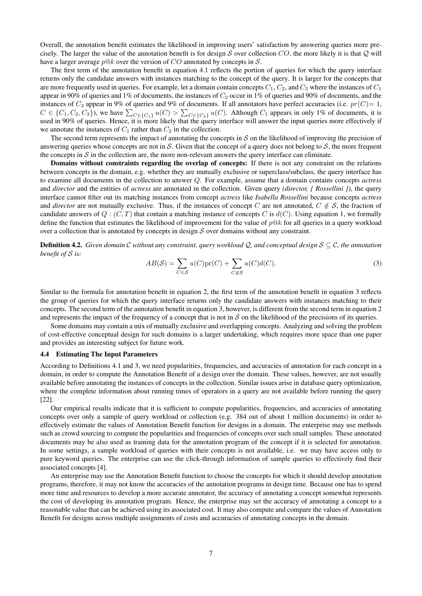Overall, the annotation benefit estimates the likelihood in improving users' satisfaction by answering queries more precisely. The larger the value of the annotation benefit is for design S over collection  $CO$ , the more likely it is that Q will have a larger average  $p@k$  over the version of  $CO$  annotated by concepts in S.

The first term of the annotation benefit in equation 4.1 reflects the portion of queries for which the query interface returns only the candidate answers with instances matching to the concept of the query. It is larger for the concepts that are more frequently used in queries. For example, let a domain contain concepts  $C_1$ ,  $C_2$ , and  $C_3$  where the instances of  $C_1$ appear in 90% of queries and 1% of documents, the instances of  $C_2$  occur in 1% of queries and 90% of documents, and the instances of  $C_3$  appear in 9% of queries and 9% of documents. If all annotators have perfect accuracies (i.e.  $pr(C) = 1$ ,  $C \in \{C_1, C_2, C_3\}$ , we have  $\sum_{C \in \{C_1\}} u(C) > \sum_{C \in \{C_2\}} u(C)$ . Although  $C_1$  appears in only 1% of documents, it is used in 90% of queries. Hence, it is more likely that the query interface will answer the input queries more effectively if we annotate the instances of  $C_1$  rather than  $C_2$  in the collection.

The second term represents the impact of annotating the concepts in  $S$  on the likelihood of improving the precision of answering queries whose concepts are not in S. Given that the concept of a query does not belong to S, the more frequent the concepts in  $S$  in the collection are, the more non-relevant answers the query interface can eliminate.

Domains without constraints regarding the overlap of concepts: If there is not any constraint on the relations between concepts in the domain, e.g. whether they are mutually exclusive or superclass/subclass, the query interface has to examine all documents in the collection to answer Q. For example, assume that a domain contains concepts *actress* and *director* and the entities of *actress* are annotated in the collection. Given query *(director, { Rossellini })*, the query interface cannot filter out its matching instances from concept *actress* like *Isabella Rossellini* because concepts *actress* and *director* are not mutually exclusive. Thus, if the instances of concept C are not annotated,  $C \notin S$ , the fraction of candidate answers of  $Q : (C, T)$  that contain a matching instance of concepts C is  $d(C)$ . Using equation 1, we formally define the function that estimates the likelihood of improvement for the value of  $p@k$  for all queries in a query workload over a collection that is annotated by concepts in design  $S$  over domains without any constraint.

Definition 4.2. *Given domain* C *without any constraint, query workload* Q*, and conceptual design* S ⊆ C*, the annotation benefit of* S *is:*

$$
AB(S) = \sum_{C \in S} u(C)pr(C) + \sum_{C \notin S} u(C)d(C).
$$
 (3)

Similar to the formula for annotation benefit in equation 2, the first term of the annotation benefit in equation 3 reflects the group of queries for which the query interface returns only the candidate answers with instances matching to their concepts. The second term of the annotation benefit in equation 3, however, is different from the second term in equation 2 and represents the impact of the frequency of a concept that is not in  $S$  on the likelihood of the precisions of its queries.

Some domains may contain a mix of mutually exclusive and overlapping concepts. Analyzing and solving the problem of cost-effective conceptual design for such domains is a larger undertaking, which requires more space than one paper and provides an interesting subject for future work.

#### 4.4 Estimating The Input Parameters

According to Definitions 4.1 and 3, we need popularities, frequencies, and accuracies of annotation for each concept in a domain, in order to compute the Annotation Benefit of a design over the domain. These values, however, are not usually available before annotating the instances of concepts in the collection. Similar issues arise in database query optimization, where the complete information about running times of operators in a query are not available before running the query [22].

Our empirical results indicate that it is sufficient to compute popularities, frequencies, and accuracies of annotating concepts over only a sample of query workload or collection (e.g. 384 out of about 1 million documents) in order to effectively estimate the values of Annotation Benefit function for designs in a domain. The enterprise may use methods such as crowd sourcing to compute the popularities and frequencies of concepts over such small samples. These annotated documents may be also used as training data for the annotation program of the concept if it is selected for annotation. In some settings, a sample workload of queries with their concepts is not available, i.e. we may have access only to pure keyword queries. The enterprise can use the click-through information of sample queries to effectively find their associated concepts [4].

An enterprise may use the Annotation Benefit function to choose the concepts for which it should develop annotation programs, therefore, it may not know the accuracies of the annotation programs in design time. Because one has to spend more time and resources to develop a more accurate annotator, the accuracy of annotating a concept somewhat represents the cost of developing its annotation program. Hence, the enterprise may set the accuracy of annotating a concept to a reasonable value that can be achieved using its associated cost. It may also compute and compare the values of Annotation Benefit for designs across multiple assignments of costs and accuracies of annotating concepts in the domain.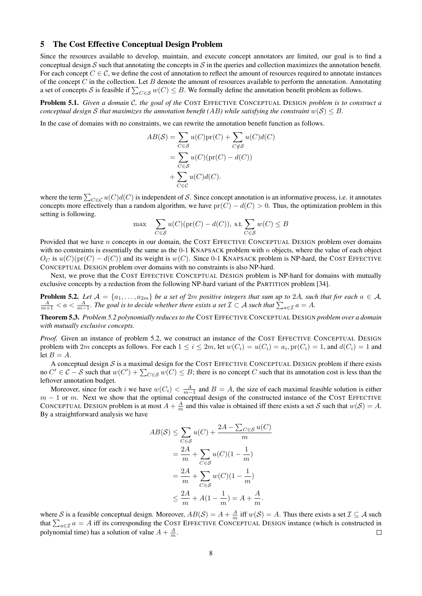# 5 The Cost Effective Conceptual Design Problem

Since the resources available to develop, maintain, and execute concept annotators are limited, our goal is to find a conceptual design  $S$  such that annotating the concepts in  $S$  in the queries and collection maximizes the annotation benefit. For each concept  $C \in \mathcal{C}$ , we define the cost of annotation to reflect the amount of resources required to annotate instances of the concept  $C$  in the collection. Let  $B$  denote the amount of resources available to perform the annotation. Annotating a set of concepts S is feasible if  $\sum_{C \in \mathcal{S}} w(C) \leq B$ . We formally define the annotation benefit problem as follows.

Problem 5.1. *Given a domain* C*, the goal of the* COST EFFECTIVE CONCEPTUAL DESIGN *problem is to construct a conceptual design* S *that maximizes the annotation benefit* (*AB*) while satisfying the constraint  $w(S) \leq B$ .

In the case of domains with no constraints, we can rewrite the annotation benefit function as follows.

$$
AB(S) = \sum_{C \in S} u(C)pr(C) + \sum_{C \notin S} u(C)d(C)
$$
  
= 
$$
\sum_{C \in S} u(C)(pr(C) - d(C))
$$
  
+ 
$$
\sum_{C \in C} u(C)d(C).
$$

where the term  $\sum_{C \in \mathcal{C}} u(C) d(C)$  is independent of S. Since concept annotation is an informative process, i.e. it annotates concepts more effectively than a random algorithm, we have  $pr(C) - d(C) > 0$ . Thus, the optimization problem in this setting is following.

$$
\max \quad \sum_{C \in \mathcal{S}} u(C)(\text{pr}(C) - d(C)), \text{ s.t.} \sum_{C \in \mathcal{S}} w(C) \leq B
$$

Provided that we have n concepts in our domain, the COST EFFECTIVE CONCEPTUAL DESIGN problem over domains with no constraints is essentially the same as the 0-1 KNAPSACK problem with  $n$  objects, where the value of each object  $O_C$  is  $u(C)(pr(C) - d(C))$  and its weight is  $w(C)$ . Since 0-1 KNAPSACK problem is NP-hard, the COST EFFECTIVE CONCEPTUAL DESIGN problem over domains with no constraints is also NP-hard.

Next, we prove that the COST EFFECTIVE CONCEPTUAL DESIGN problem is NP-hard for domains with mutually exclusive concepts by a reduction from the following NP-hard variant of the PARTITION problem [34].

**Problem 5.2.** Let  $A = \{a_1, ..., a_{2m}\}$  be a set of  $2m$  positive integers that sum up to  $2A$ , such that for each  $a \in A$ ,  $\frac{A}{m+1} < a < \frac{A}{m-1}$ . The goal is to decide whether there exists a set  $\mathcal{I} \subset A$  such that  $\sum_{a$ 

Theorem 5.3. *Problem 5.2 polynomially reduces to the* COST EFFECTIVE CONCEPTUAL DESIGN *problem over a domain with mutually exclusive concepts.*

*Proof.* Given an instance of problem 5.2, we construct an instance of the COST EFFECTIVE CONCEPTUAL DESIGN problem with  $2m$  concepts as follows. For each  $1 \le i \le 2m$ , let  $w(C_i) = u(C_i) = a_i$ ,  $pr(C_i) = 1$ , and  $d(C_i) = 1$  and let  $B = A$ .

A conceptual design  $S$  is a maximal design for the COST EFFECTIVE CONCEPTUAL DESIGN problem if there exists no  $C' \in \mathcal{C} - \mathcal{S}$  such that  $w(C') + \sum_{C \in \mathcal{S}} w(C) \leq B$ ; there is no concept C such that its annotation cost is less than the leftover annotation budget.

Moreover, since for each i we have  $w(C_i) < \frac{A}{m-1}$  and  $B = A$ , the size of each maximal feasible solution is either  $m - 1$  or m. Next we show that the optimal conceptual design of the constructed instance of the COST EFFECTIVE CONCEPTUAL DESIGN problem is at most  $A + \frac{A}{m}$  and this value is obtained iff there exists a set S such that  $w(S) = A$ . By a straightforward analysis we have

$$
AB(S) \le \sum_{C \in S} u(C) + \frac{2A - \sum_{C \in S} u(C)}{m}
$$
  
=  $\frac{2A}{m} + \sum_{C \in S} u(C)(1 - \frac{1}{m})$   
=  $\frac{2A}{m} + \sum_{C \in S} w(C)(1 - \frac{1}{m})$   
 $\le \frac{2A}{m} + A(1 - \frac{1}{m}) = A + \frac{A}{m}.$ 

where S is a feasible conceptual design. Moreover,  $AB(S) = A + \frac{A}{m}$  iff  $w(S) = A$ . Thus there exists a set  $\mathcal{I} \subseteq A$  such that  $\sum_{a \in \mathcal{I}} a = A$  iff its corresponding the COST EFFECTIVE CONCEPTUAL DESIGN instance (which is constructed in polynomial time) has a solution of value  $A + \frac{A}{m}$ .  $\Box$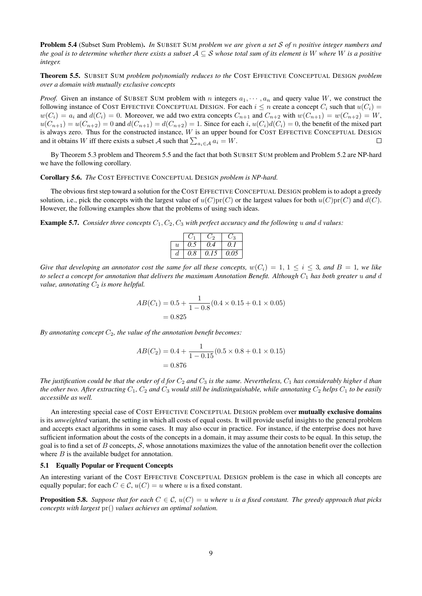Problem 5.4 (Subset Sum Problem). *In* SUBSET SUM *problem we are given a set* S *of* n *positive integer numbers and the goal is to determine whether there exists a subset* A ⊆ S *whose total sum of its element is* W *where* W *is a positive integer.*

Theorem 5.5. SUBSET SUM *problem polynomially reduces to the* COST EFFECTIVE CONCEPTUAL DESIGN *problem over a domain with mutually exclusive concepts*

*Proof.* Given an instance of SUBSET SUM problem with n integers  $a_1, \dots, a_n$  and query value W, we construct the following instance of COST EFFECTIVE CONCEPTUAL DESIGN. For each  $i \leq n$  create a concept  $C_i$  such that  $u(C_i)$  =  $w(C_i) = a_i$  and  $d(C_i) = 0$ . Moreover, we add two extra concepts  $C_{n+1}$  and  $C_{n+2}$  with  $w(C_{n+1}) = w(C_{n+2}) = W$ ,  $u(C_{n+1}) = u(C_{n+2}) = 0$  and  $d(C_{n+1}) = d(C_{n+2}) = 1$ . Since for each i,  $u(C_i)d(C_i) = 0$ , the benefit of the mixed part is always zero. Thus for the constructed instance,  $W$  is an upper bound for COST EFFECTIVE CONCEPTUAL DESIGN and it obtains W iff there exists a subset A such that  $\sum_{a_i \in A} a_i = W$ .  $\Box$ 

By Theorem 5.3 problem and Theorem 5.5 and the fact that both SUBSET SUM problem and Problem 5.2 are NP-hard we have the following corollary.

#### Corollary 5.6. *The* COST EFFECTIVE CONCEPTUAL DESIGN *problem is NP-hard.*

The obvious first step toward a solution for the COST EFFECTIVE CONCEPTUAL DESIGN problem is to adopt a greedy solution, i.e., pick the concepts with the largest value of  $u(C)pr(C)$  or the largest values for both  $u(C)pr(C)$  and  $d(C)$ . However, the following examples show that the problems of using such ideas.

**Example 5.7.** *Consider three concepts*  $C_1$ ,  $C_2$ ,  $C_3$  *with perfect accuracy and the following*  $u$  *and*  $d$  *values:* 

| u  | 0.5 | 0.4  | - 0. 4 |
|----|-----|------|--------|
| d. | 0.8 | 0.15 | 0.05   |

*Give that developing an annotator cost the same for all these concepts,*  $w(C_i) = 1, 1 \leq i \leq 3$ , and  $B = 1$ , we like *to select a concept for annotation that delivers the maximum Annotation Benefit. Although*  $C_1$  *has both greater* u *and* d *value, annotating*  $C_2$  *is more helpful.* 

$$
AB(C_1) = 0.5 + \frac{1}{1 - 0.8}(0.4 \times 0.15 + 0.1 \times 0.05)
$$
  
= 0.825

 $By$  annotating concept  $C_2$ , the value of the annotation benefit becomes:

$$
AB(C_2) = 0.4 + \frac{1}{1 - 0.15}(0.5 \times 0.8 + 0.1 \times 0.15)
$$

$$
= 0.876
$$

*The justification could be that the order of d for*  $C_2$  *and*  $C_3$  *is the same. Nevertheless,*  $C_1$  *has considerably higher d than the other two. After extracting*  $C_1$ ,  $C_2$  *and*  $C_3$  *would still be indistinguishable, while annotating*  $C_2$  *helps*  $C_1$  *to be easily accessible as well.*

An interesting special case of COST EFFECTIVE CONCEPTUAL DESIGN problem over mutually exclusive domains is its *unweighted* variant, the setting in which all costs of equal costs. It will provide useful insights to the general problem and accepts exact algorithms in some cases. It may also occur in practice. For instance, if the enterprise does not have sufficient information about the costs of the concepts in a domain, it may assume their costs to be equal. In this setup, the goal is to find a set of  $B$  concepts,  $S$ , whose annotations maximizes the value of the annotation benefit over the collection where  $B$  is the available budget for annotation.

#### 5.1 Equally Popular or Frequent Concepts

An interesting variant of the COST EFFECTIVE CONCEPTUAL DESIGN problem is the case in which all concepts are equally popular; for each  $C \in \mathcal{C}$ ,  $u(C) = u$  where u is a fixed constant.

**Proposition 5.8.** *Suppose that for each*  $C \in \mathcal{C}$ ,  $u(C) = u$  *where* u *is a fixed constant. The greedy approach that picks concepts with largest* pr() *values achieves an optimal solution.*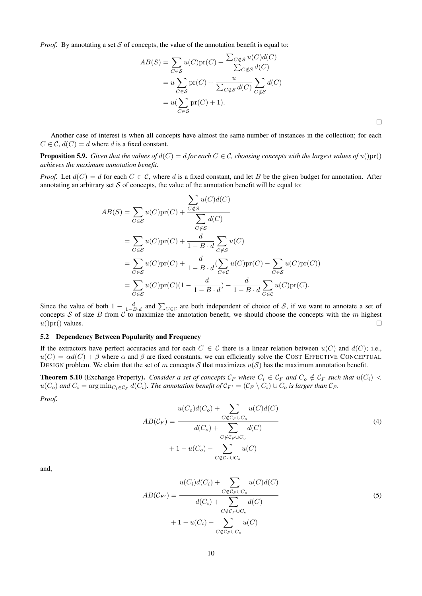*Proof.* By annotating a set S of concepts, the value of the annotation benefit is equal to:

$$
AB(S) = \sum_{C \in S} u(C)pr(C) + \frac{\sum_{C \notin S} u(C) d(C)}{\sum_{C \notin S} d(C)}
$$
  
=  $u \sum_{C \in S} pr(C) + \frac{u}{\sum_{C \notin S} d(C)} \sum_{C \notin S} d(C)$   
=  $u(\sum_{C \in S} pr(C) + 1).$ 

Another case of interest is when all concepts have almost the same number of instances in the collection; for each  $C \in \mathcal{C}$ ,  $d(C) = d$  where d is a fixed constant.

**Proposition 5.9.** *Given that the values of*  $d(C) = d$  *for each*  $C \in \mathcal{C}$ *, choosing concepts with the largest values of*  $u()pr()$ *achieves the maximum annotation benefit.*

*Proof.* Let  $d(C) = d$  for each  $C \in \mathcal{C}$ , where d is a fixed constant, and let B be the given budget for annotation. After annotating an arbitrary set  $S$  of concepts, the value of the annotation benefit will be equal to:

$$
AB(S) = \sum_{C \in \mathcal{S}} u(C) \text{pr}(C) + \frac{\sum_{C \notin \mathcal{S}} u(C) d(C)}{\sum_{C \notin \mathcal{S}} d(C)}
$$
  
= 
$$
\sum_{C \in \mathcal{S}} u(C) \text{pr}(C) + \frac{d}{1 - B \cdot d} \sum_{C \notin \mathcal{S}} u(C)
$$
  
= 
$$
\sum_{C \in \mathcal{S}} u(C) \text{pr}(C) + \frac{d}{1 - B \cdot d} (\sum_{C \in \mathcal{C}} u(C) \text{pr}(C) - \sum_{C \in \mathcal{S}} u(C) \text{pr}(C))
$$
  
= 
$$
\sum_{C \in \mathcal{S}} u(C) \text{pr}(C) (1 - \frac{d}{1 - B \cdot d}) + \frac{d}{1 - B \cdot d} \sum_{C \in \mathcal{C}} u(C) \text{pr}(C).
$$

Since the value of both  $1 - \frac{d}{1 - B \cdot d}$  and  $\sum_{C \in \mathcal{C}}$  are both independent of choice of S, if we want to annotate a set of concepts S of size B from C to maximize the annotation benefit, we should choose the concepts with the m highest  $u()pr()$  values.  $\Box$ 

### 5.2 Dependency Between Popularity and Frequency

If the extractors have perfect accuracies and for each  $C \in \mathcal{C}$  there is a linear relation between  $u(C)$  and  $d(C)$ ; i.e.,  $u(C) = \alpha d(C) + \beta$  where  $\alpha$  and  $\beta$  are fixed constants, we can efficiently solve the COST EFFECTIVE CONCEPTUAL DESIGN problem. We claim that the set of m concepts S that maximizes  $u(S)$  has the maximum annotation benefit.

**Theorem 5.10** (Exchange Property). *Consider a set of concepts*  $\mathcal{C}_F$  *where*  $C_i \in \mathcal{C}_F$  *and*  $C_o \notin \mathcal{C}_F$  *such that*  $u(C_i)$  <  $u(C_o)$  and  $C_i = \arg \min_{C_i \in \mathcal{C}_F} d(C_i)$ . The annotation benefit of  $\mathcal{C}_{F'} = (\mathcal{C}_F \setminus C_i) \cup C_o$  is larger than  $\mathcal{C}_F$ .

*Proof.*

$$
AB(C_F) = \frac{u(C_o)d(C_o) + \sum_{C \notin C_F \cup C_o} u(C)d(C)}{d(C_o) + \sum_{C \notin C_F \cup C_o} d(C)}
$$
(4)  
+1 - u(C\_o) - \sum\_{C \notin C\_F \cup C\_o} u(C)

and,

$$
AB(C_{F'}) = \frac{u(C_i)d(C_i) + \sum_{C \notin C_F \cup C_o} u(C)d(C)}{d(C_i) + \sum_{C \notin C_F \cup C_o} d(C)}
$$
(5)  
+1-u(C\_i) - \sum\_{C \notin C\_F \cup C\_o} u(C)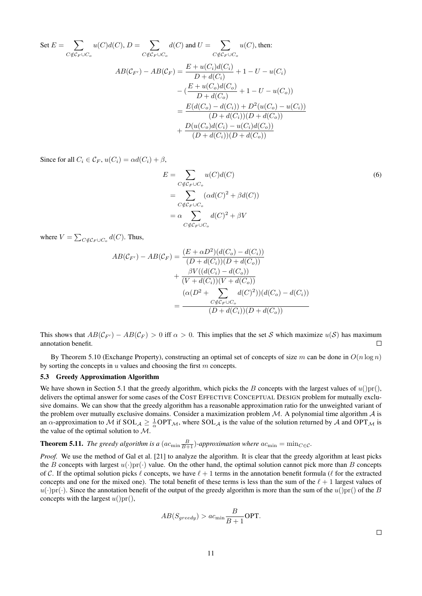Set 
$$
E = \sum_{C \notin C_F \cup C_o} u(C)d(C), D = \sum_{C \notin C_F \cup C_o} d(C)
$$
 and  $U = \sum_{C \notin C_F \cup C_o} u(C)$ , then:  
\n
$$
AB(C_{F'}) - AB(C_F) = \frac{E + u(C_i)d(C_i)}{D + d(C_i)} + 1 - U - u(C_i)
$$
\n
$$
- \left( \frac{E + u(C_o)d(C_o)}{D + d(C_o)} + 1 - U - u(C_o) \right)
$$
\n
$$
= \frac{E(d(C_o) - d(C_i)) + D^2(u(C_o) - u(C_i))}{(D + d(C_i))(D + d(C_o))}
$$
\n
$$
+ \frac{D(u(C_o)d(C_i) - u(C_i)d(C_o))}{(D + d(C_i))(D + d(C_o))}
$$

Since for all  $C_i \in \mathcal{C}_F$ ,  $u(C_i) = \alpha d(C_i) + \beta$ ,

$$
E = \sum_{C \notin \mathcal{C}_F \cup C_o} u(C)d(C)
$$
  
= 
$$
\sum_{C \notin \mathcal{C}_F \cup C_o} (\alpha d(C)^2 + \beta d(C))
$$
  
= 
$$
\alpha \sum_{C \notin \mathcal{C}_F \cup C_o} d(C)^2 + \beta V
$$
 (6)

where  $V = \sum_{C \notin \mathcal{C}_F \cup C_o} d(C)$ . Thus,

$$
AB(C_{F'}) - AB(C_F) = \frac{(E + \alpha D^2)(d(C_o) - d(C_i))}{(D + d(C_i))(D + d(C_o))} + \frac{\beta V((d(C_i) - d(C_o))}{(V + d(C_i))(V + d(C_o))} = \frac{(\alpha (D^2 + \sum_{C \notin C_F \cup C_o} d(C)^2))(d(C_o) - d(C_i))}{(D + d(C_i))(D + d(C_o))}
$$

This shows that  $AB(\mathcal{C}_{F'}) - AB(\mathcal{C}_F) > 0$  iff  $\alpha > 0$ . This implies that the set S which maximize  $u(S)$  has maximum annotation benefit.  $\Box$ 

By Theorem 5.10 (Exchange Property), constructing an optimal set of concepts of size m can be done in  $O(n \log n)$ by sorting the concepts in  $u$  values and choosing the first  $m$  concepts.

#### 5.3 Greedy Approximation Algorithm

We have shown in Section 5.1 that the greedy algorithm, which picks the B concepts with the largest values of  $u()pr()$ , delivers the optimal answer for some cases of the COST EFFECTIVE CONCEPTUAL DESIGN problem for mutually exclusive domains. We can show that the greedy algorithm has a reasonable approximation ratio for the unweighted variant of the problem over mutually exclusive domains. Consider a maximization problem  $M$ . A polynomial time algorithm  $A$  is an  $\alpha$ -approximation to M if SOL<sub>A</sub>  $\geq \frac{1}{\alpha}$ OPT<sub>M</sub>, where SOL<sub>A</sub> is the value of the solution returned by A and OPT<sub>M</sub> is the value of the optimal solution to  $\mathcal{M}$ .

# **Theorem 5.11.** *The greedy algorithm is a*  $(ac_{\min} \frac{B}{B+1})$ *-approximation where*  $ac_{\min} = \min_{C \in \mathcal{C}}$ *.*

*Proof.* We use the method of Gal et al. [21] to analyze the algorithm. It is clear that the greedy algorithm at least picks the B concepts with largest  $u(\cdot)$  pr $(\cdot)$  value. On the other hand, the optimal solution cannot pick more than B concepts of C. If the optimal solution picks  $\ell$  concepts, we have  $\ell + 1$  terms in the annotation benefit formula ( $\ell$  for the extracted concepts and one for the mixed one). The total benefit of these terms is less than the sum of the  $\ell + 1$  largest values of  $u(\cdot)$ pr( $\cdot$ ). Since the annotation benefit of the output of the greedy algorithm is more than the sum of the  $u(\cdot)$ pr() of the B concepts with the largest  $u()pr()$ ,

$$
AB(S_{greedy}) > ac_{\min} \frac{B}{B+1} \text{OPT}.
$$

 $\Box$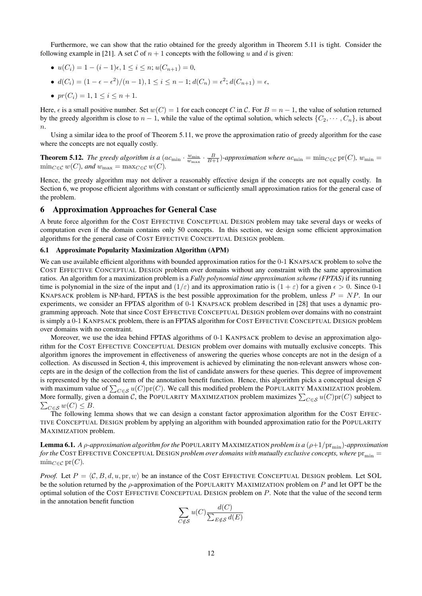Furthermore, we can show that the ratio obtained for the greedy algorithm in Theorem 5.11 is tight. Consider the following example in [21]. A set C of  $n + 1$  concepts with the following u and d is given:

- $u(C_i) = 1 (i 1)\epsilon, 1 \leq i \leq n$ ;  $u(C_{n+1}) = 0$ ,
- $d(C_i) = (1 \epsilon \epsilon^2)/(n 1), 1 \le i \le n 1; d(C_n) = \epsilon^2; d(C_{n+1}) = \epsilon,$
- $pr(C_i) = 1, 1 \leq i \leq n+1.$

Here,  $\epsilon$  is a small positive number. Set  $w(C) = 1$  for each concept C in C. For  $B = n - 1$ , the value of solution returned by the greedy algorithm is close to  $n - 1$ , while the value of the optimal solution, which selects  $\{C_2, \dots, C_n\}$ , is about  $\overline{n}$ .

Using a similar idea to the proof of Theorem 5.11, we prove the approximation ratio of greedy algorithm for the case where the concepts are not equally costly.

**Theorem 5.12.** The greedy algorithm is a  $(a c_{\min} \cdot \frac{w_{\min}}{w_{\max}} \cdot \frac{B}{B+1})$ -approximation where  $ac_{\min} = \min_{C \in \mathcal{C}} \text{pr}(C)$ ,  $w_{\min} =$  $\min_{C \in \mathcal{C}} w(C)$ *, and*  $w_{\text{max}} = \max_{C \in \mathcal{C}} w(C)$ *.* 

Hence, the greedy algorithm may not deliver a reasonably effective design if the concepts are not equally costly. In Section 6, we propose efficient algorithms with constant or sufficiently small approximation ratios for the general case of the problem.

### 6 Approximation Approaches for General Case

A brute force algorithm for the COST EFFECTIVE CONCEPTUAL DESIGN problem may take several days or weeks of computation even if the domain contains only 50 concepts. In this section, we design some efficient approximation algorithms for the general case of COST EFFECTIVE CONCEPTUAL DESIGN problem.

### 6.1 Approximate Popularity Maximization Algorithm (APM)

We can use available efficient algorithms with bounded approximation ratios for the 0-1 KNAPSACK problem to solve the COST EFFECTIVE CONCEPTUAL DESIGN problem over domains without any constraint with the same approximation ratios. An algorithm for a maximization problem is a *Fully polynomial time approximation scheme (FPTAS)* if its running time is polynomial in the size of the input and  $(1/\varepsilon)$  and its approximation ratio is  $(1 + \varepsilon)$  for a given  $\epsilon > 0$ . Since 0-1 KNAPSACK problem is NP-hard, FPTAS is the best possible approximation for the problem, unless  $P = NP$ . In our experiments, we consider an FPTAS algorithm of 0-1 KNAPSACK problem described in [28] that uses a dynamic programming approach. Note that since COST EFFECTIVE CONCEPTUAL DESIGN problem over domains with no constraint is simply a 0-1 KANPSACK problem, there is an FPTAS algorithm for COST EFFECTIVE CONCEPTUAL DESIGN problem over domains with no constraint.

Moreover, we use the idea behind FPTAS algorithms of 0-1 KANPSACK problem to devise an approximation algorithm for the COST EFFECTIVE CONCEPTUAL DESIGN problem over domains with mutually exclusive concepts. This algorithm ignores the improvement in effectiveness of answering the queries whose concepts are not in the design of a collection. As discussed in Section 4, this improvement is achieved by eliminating the non-relevant answers whose concepts are in the design of the collection from the list of candidate answers for these queries. This degree of improvement is represented by the second term of the annotation benefit function. Hence, this algorithm picks a conceptual design  $S$ with maximum value of  $\sum_{C \in \mathcal{S}} u(C) \text{pr}(C)$ . We call this modified problem the POPULARITY MAXIMIZATION problem. More formally, given a domain C, the POPULARITY MAXIMIZATION problem maximizes  $\sum_{C \in \mathcal{S}} u(C) \text{pr}(C)$  subject to  $\sum_{C \in \mathcal{S}} w(C) \leq B.$ 

The following lemma shows that we can design a constant factor approximation algorithm for the COST EFFEC-TIVE CONCEPTUAL DESIGN problem by applying an algorithm with bounded approximation ratio for the POPULARITY MAXIMIZATION problem.

Lemma 6.1. *A*  $\rho$ -approximation algorithm for the POPULARITY MAXIMIZATION problem is a  $(\rho + 1/\text{pr}_{\text{min}})$ -approximation *for the* COST EFFECTIVE CONCEPTUAL DESIGN *problem over domains with mutually exclusive concepts, where*  $pr_{min}$  =  $\min_{C \in \mathcal{C}} \text{pr}(C)$ .

*Proof.* Let  $P = \langle C, B, d, u, \text{pr}, w \rangle$  be an instance of the COST EFFECTIVE CONCEPTUAL DESIGN problem. Let SOL be the solution returned by the  $\rho$ -approximation of the POPULARITY MAXIMIZATION problem on P and let OPT be the optimal solution of the COST EFFECTIVE CONCEPTUAL DESIGN problem on P. Note that the value of the second term in the annotation benefit function

$$
\sum_{C \notin \mathcal{S}} u(C) \frac{d(C)}{\sum_{E \notin \mathcal{S}} d(E)}
$$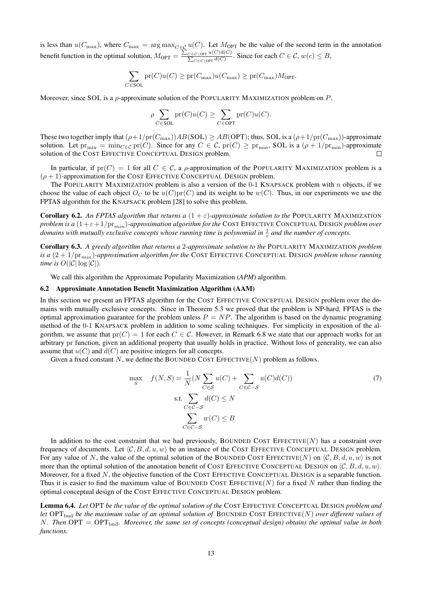is less than  $u(C_{\text{max}})$ , where  $C_{\text{max}} = \arg \max_{C \in \mathcal{C}} u(C)$ . Let  $M_{\text{OPT}}$  be the value of the second term in the annotation benefit function in the optimal solution,  $M_{\text{OPT}} = \frac{\sum_{C \in \mathcal{C} \setminus \text{OPT}} u(C) d(C)}{\sum_{C \in \mathcal{C} \setminus \text{OPT}} d(C)}$ . Since for each  $C \in \mathcal{C}$ ,  $w(c) \leq B$ ,

$$
\sum_{C \in \text{SOL}} \text{pr}(C)u(C) \ge \text{pr}(C_{\text{max}})u(C_{\text{max}}) \ge \text{pr}(C_{\text{max}})M_{\text{OPT}}.
$$

Moreover, since SOL is a  $\rho$ -approximate solution of the POPULARITY MAXIMIZATION problem on P,

$$
\rho \sum_{C \in \text{SOL}} \text{pr}(C)u(C) \ge \sum_{C \in \text{OPT}} \text{pr}(C)u(C).
$$

These two together imply that  $(\rho + 1/pr(C_{\text{max}}))AB(SOL) \ge AB(OPT)$ ; thus, SOL is a  $(\rho + 1/pr(C_{\text{max}}))$ -approximate solution. Let  $pr_{\min} = \min_{C \in \mathcal{C}} pr(C)$ . Since for any  $C \in \mathcal{C}$ ,  $pr(C) \geq pr_{\min}$ , SOL is a  $(\rho + 1/pr_{\min})$ -approximate solution of the COST EFFECTIVE CONCEPTUAL DESIGN problem. П

In particular, if  $pr(C) = 1$  for all  $C \in \mathcal{C}$ , a  $\rho$ -approximation of the POPULARITY MAXIMIZATION problem is a  $(\rho + 1)$ -approximation for the COST EFFECTIVE CONCEPTUAL DESIGN problem.

The POPULARITY MAXIMIZATION problem is also a version of the 0-1 KNAPSACK problem with n objects, if we choose the value of each object  $O_C$  to be  $u(C)pr(C)$  and its weight to be  $w(C)$ . Thus, in our experiments we use the FPTAS algorithm for the KNAPSACK problem [28] to solve this problem.

**Corollary 6.2.** An FPTAS algorithm that returns a  $(1 + \varepsilon)$ -approximate solution to the POPULARITY MAXIMIZATION *problem is a*  $(1+\varepsilon+1/\text{pr}_{min})$ -approximation algorithm for the COST EFFECTIVE CONCEPTUAL DESIGN problem over domains with mutually exclusive concepts whose running time is polynomial in  $\frac{1}{\varepsilon}$  and the number of concepts.

Corollary 6.3. *A greedy algorithm that returns a* 2*-approximate solution to the* POPULARITY MAXIMIZATION *problem is a*  $(2 + 1/\text{pr}_{min})$ -approximation algorithm for the COST EFFECTIVE CONCEPTUAL DESIGN problem whose running *time is*  $O(|\mathcal{C}| \log |\mathcal{C}|)$ .

We call this algorithm the Approximate Popularity Maximization (*APM*) algorithm.

#### 6.2 Approximate Annotation Benefit Maximization Algorithm (AAM)

In this section we present an FPTAS algorithm for the COST EFFECTIVE CONCEPTUAL DESIGN problem over the domains with mutually exclusive concepts. Since in Theorem 5.3 we proved that the problem is NP-hard, FPTAS is the optimal approximation guarantee for the problem unless  $P = NP$ . The algorithm is based on the dynamic programing method of the 0-1 KNAPSACK problem in addition to some scaling techniques. For simplicity in exposition of the algorithm, we assume that  $pr(C) = 1$  for each  $C \in \mathcal{C}$ . However, in Remark 6.8 we state that our approach works for an arbitrary pr function, given an additional property that usually holds in practice. Without loss of generality, we can also assume that  $u(C)$  and  $d(C)$  are positive integers for all concepts.

Given a fixed constant N, we define the BOUNDED COST  $E$ FFECTIVE $(N)$  problem as follows.

$$
\max_{S} \quad f(N, S) = \frac{1}{N} (N \sum_{C \in S} u(C) + \sum_{C \in C - S} u(C) d(C))
$$
\n
$$
\text{s.t.} \sum_{C \in C - S} d(C) \le N
$$
\n
$$
\sum_{C \in C - S} w(C) \le B
$$
\n(7)

In addition to the cost constraint that we had previously, BOUNDED COST EFFECTIVE(N) has a constraint over frequency of documents. Let  $\langle C, B, d, u, w \rangle$  be an instance of the COST EFFECTIVE CONCEPTUAL DESIGN problem. For any value of N, the value of the optimal solution of the BOUNDED COST EFFECTIVE(N) on  $\langle C, B, d, u, w \rangle$  is not more than the optimal solution of the annotation benefit of COST EFFECTIVE CONCEPTUAL DESIGN on  $\langle C, B, d, u, w \rangle$ . Moreover, for a fixed N, the objective function of the COST EFFECTIVE CONCEPTUAL DESIGN is a separable function. Thus it is easier to find the maximum value of BOUNDED COST  $E$ FFECTIVE(N) for a fixed N rather than finding the optimal conceptual design of the COST EFFECTIVE CONCEPTUAL DESIGN problem.

Lemma 6.4. *Let* OPT *be the value of the optimal solution of the* COST EFFECTIVE CONCEPTUAL DESIGN *problem and let*  $OPT_{\text{bnd}}$  *be the maximum value of an optimal solution of* BOUNDED COST EFFECTIVE(N) *over different values of* N. Then OPT = OPT<sub>bnd</sub>. Moreover, the same set of concepts (conceptual design) obtains the optimal value in both *functions.*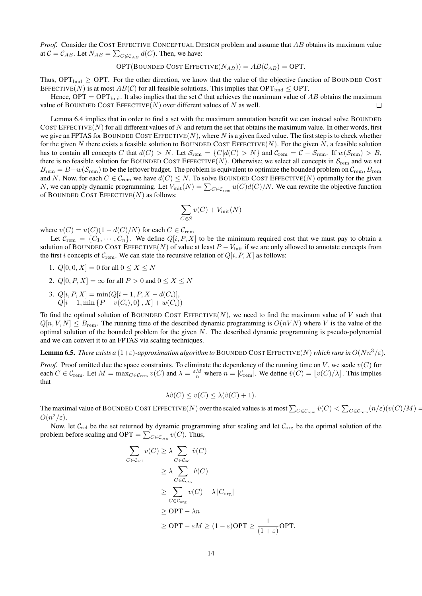*Proof.* Consider the COST EFFECTIVE CONCEPTUAL DESIGN problem and assume that AB obtains its maximum value at  $C = C_{AB}$ . Let  $N_{AB} = \sum_{C \notin \mathcal{C}_{AB}} d(C)$ . Then, we have:

OPT(BOUNDED COST EFFECTIVE( $N_{AB}$ )) =  $AB(C_{AB})$  = OPT.

Thus,  $OPT_{\text{bnd}} \geq OPT$ . For the other direction, we know that the value of the objective function of BOUNDED COST EFFECTIVE(N) is at most  $AB(C)$  for all feasible solutions. This implies that OPT<sub>bnd</sub>  $\leq$  OPT.

Hence,  $OPT = OPT_{\text{bnd}}$ . It also implies that the set C that achieves the maximum value of AB obtains the maximum value of BOUNDED COST EFFECTIVE $(N)$  over different values of N as well.  $\Box$ 

Lemma 6.4 implies that in order to find a set with the maximum annotation benefit we can instead solve BOUNDED COST EFFECTIVE(N) for all different values of N and return the set that obtains the maximum value. In other words, first we give an FPTAS for BOUNDED COST EFFECTIVE(N), where N is a given fixed value. The first step is to check whether for the given N there exists a feasible solution to BOUNDED COST EFFECTIVE(N). For the given N, a feasible solution has to contain all concepts C that  $d(C) > N$ . Let  $S_{rem} = {C|d(C) > N}$  and  $C_{rem} = C - S_{rem}$ . If  $w(S_{rem}) > B$ , there is no feasible solution for BOUNDED COST EFFECTIVE(N). Otherwise; we select all concepts in  $S_{\text{rem}}$  and we set  $B_{\text{rem}} = B-w(S_{\text{rem}})$  to be the leftover budget. The problem is equivalent to optimize the bounded problem on  $C_{\text{rem}}$ ,  $B_{\text{rem}}$ and N. Now, for each  $C \in \mathcal{C}_{rem}$  we have  $d(C) \leq N$ . To solve BOUNDED COST EFFECTIVE(N) optimally for the given N, we can apply dynamic programming. Let  $V_{\text{init}}(N) = \sum_{C \in \mathcal{C}_{\text{rem}}} u(C) d(C)/N$ . We can rewrite the objective function of BOUNDED COST EFFECTIVE $(N)$  as follows:

$$
\sum_{C \in \mathcal{S}} v(C) + V_{\text{init}}(N)
$$

where  $v(C) = u(C)(1 - d(C)/N)$  for each  $C \in \mathcal{C}_{\text{rem}}$ 

Let  $\mathcal{C}_{rem} = \{C_1, \dots, C_n\}$ . We define  $Q[i, P, X]$  to be the minimum required cost that we must pay to obtain a solution of BOUNDED COST EFFECTIVE(N) of value at least  $P - V_{init}$  if we are only allowed to annotate concepts from the first i concepts of  $C_{\text{rem}}$ . We can state the recursive relation of  $Q[i, P, X]$  as follows:

- 1.  $Q[0, 0, X] = 0$  for all  $0 \le X \le N$
- 2.  $Q[0, P, X] = \infty$  for all  $P > 0$  and  $0 \le X \le N$

3. 
$$
Q[i, P, X] = min(Q[i - 1, P, X - d(C_i)],
$$
  
\n $Q[i - 1, min\{P - v(C_i), 0\}, X] + w(C_i))$ 

To find the optimal solution of BOUNDED COST EFFECTIVE(N), we need to find the maximum value of V such that  $Q[n, V, N] \leq B_{\text{rem}}$ . The running time of the described dynamic programming is  $O(nVN)$  where V is the value of the optimal solution of the bounded problem for the given  $N$ . The described dynamic programming is pseudo-polynomial and we can convert it to an FPTAS via scaling techniques.

**Lemma 6.5.** *There exists a* (1+ $\varepsilon$ )-*approximation algorithm to* BOUNDED COST EFFECTIVE(N) *which runs in*  $O(Nn^3/\varepsilon)$ .

*Proof.* Proof omitted due the space constraints. To eliminate the dependency of the running time on V, we scale  $v(C)$  for each  $C \in \mathcal{C}_{\text{rem}}$ . Let  $M = \max_{C \in \mathcal{C}_{\text{rem}}} v(C)$  and  $\lambda = \frac{\varepsilon M}{n}$  where  $n = |\mathcal{C}_{\text{rem}}|$ . We define  $\hat{v}(C) = \lfloor v(C)/\lambda \rfloor$ . This implies that

$$
\lambda \hat{v}(C) \le v(C) \le \lambda(\hat{v}(C) + 1).
$$

The maximal value of BOUNDED COST EFFECTIVE(N) over the scaled values is at most  $\sum_{C\in\mathcal{C}_{\mathrm{rem}}} \hat{v}(C)<\sum_{C\in\mathcal{C}_{\mathrm{rem}}}(n/\varepsilon)(v(C)/M)=$  $O(n^2/\varepsilon)$ .

Now, let  $C_{\text{sc}}$  be the set returned by dynamic programming after scaling and let  $C_{\text{org}}$  be the optimal solution of the problem before scaling and OPT =  $\sum_{C \in \mathcal{C}_{\text{org}}} v(C)$ . Thus,

$$
\sum_{C \in \mathcal{C}_{\text{sel}}} v(C) \ge \lambda \sum_{C \in \mathcal{C}_{\text{sel}}} \hat{v}(C)
$$
\n
$$
\ge \lambda \sum_{C \in \mathcal{C}_{\text{org}}} \hat{v}(C)
$$
\n
$$
\ge \sum_{C \in \mathcal{C}_{\text{org}}} v(C) - \lambda |C_{\text{org}}|
$$
\n
$$
\ge \text{OPT} - \lambda n
$$
\n
$$
\ge \text{OPT} - \varepsilon M \ge (1 - \varepsilon) \text{OPT} \ge \frac{1}{(1 + \varepsilon)} \text{OPT}.
$$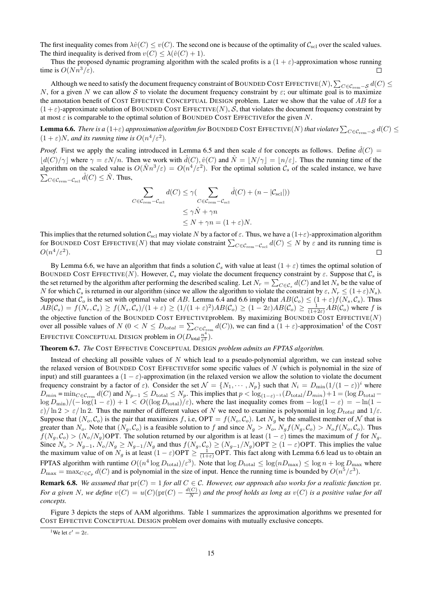The first inequality comes from  $\lambda \hat{v}(C) \leq v(C)$ . The second one is because of the optimality of  $\mathcal{C}_{\text{sc}}$  over the scaled values. The third inequality is derived from  $v(C) \leq \lambda(\hat{v}(C) + 1)$ .

Thus the proposed dynamic programing algorithm with the scaled profits is a  $(1 + \varepsilon)$ -approximation whose running time is  $O(Nn^3/\varepsilon)$ .  $\Box$ 

Although we need to satisfy the document frequency constraint of BOUNDED COST EFFECTIVE(N),  $\sum_{C\in\mathcal{C}_{\rm rem}-\mathcal{S}}d(C)\leq$ N, for a given N we can allow S to violate the document frequency constraint by  $\varepsilon$ ; our ultimate goal is to maximize the annotation benefit of COST EFFECTIVE CONCEPTUAL DESIGN problem. Later we show that the value of AB for a  $(1+\varepsilon)$ -approximate solution of BOUNDED COST EFFECTIVE(N), S, that violates the document frequency constraint by at most  $\varepsilon$  is comparable to the optimal solution of BOUNDED COST EFFECTIVE for the given N.

 ${\tt Lemma~6.6.}$  *There is a*  $(1+\varepsilon)$  *approximation algorithm for <code>BOUNDED</code> COST <code>EFFECTIVE(* $N$ *)</code> that violates*  $\sum_{C\in{\cal C}_{\rm rem}-\cal S}d(C)\leq$  $(1 + \varepsilon)N$ *, and its running time is*  $O(n^4/\varepsilon^2)$ *.* 

*Proof.* First we apply the scaling introduced in Lemma 6.5 and then scale d for concepts as follows. Define  $\hat{d}(C)$  =  $d(C)/\gamma$  where  $\gamma = \varepsilon N/n$ . Then we work with  $\hat{d}(C), \hat{v}(C)$  and  $\hat{N} = |N/\gamma| = |n/\varepsilon|$ . Thus the running time of the algorithm on the scaled value is  $O(Nn^3/\varepsilon) = O(n^4/\varepsilon^2)$ . For the optimal solution  $\mathcal{C}_s$  of the scaled instance, we have  $\sum_{C \in \mathcal{C}_{\text{rem}} - \mathcal{C}_{\text{scl}}} \hat{d}(C) \leq \hat{N}$ . Thus,

$$
\sum_{C \in \mathcal{C}_{\text{rem}} - \mathcal{C}_{\text{sel}}} d(C) \le \gamma \left( \sum_{C \in \mathcal{C}_{\text{rem}} - \mathcal{C}_{\text{sel}}} \hat{d}(C) + (n - |\mathcal{C}_{\text{sel}}|) \right)
$$

$$
\le \gamma \hat{N} + \gamma n
$$

$$
\le N + \gamma n = (1 + \varepsilon)N.
$$

This implies that the returned solution  $C_{\text{scl}}$  may violate N by a factor of  $\varepsilon$ . Thus, we have a  $(1+\varepsilon)$ -approximation algorithm for BOUNDED COST EFFECTIVE(*N*) that may violate constraint  $\sum_{C \in \mathcal{C}_{\text{rem}} - \mathcal{C}_{\text{sel}}} d(C) \leq N$  by  $\varepsilon$  and its running time is  $O(n^4/\varepsilon^2)$ .  $\Box$ 

By Lemma 6.6, we have an algorithm that finds a solution  $C_s$  with value at least  $(1 + \varepsilon)$  times the optimal solution of BOUNDED COST EFFECTIVE(N). However,  $\mathcal{C}_s$  may violate the document frequency constraint by  $\varepsilon$ . Suppose that  $\mathcal{C}_s$  is the set returned by the algorithm after performing the described scaling. Let  $N_r = \sum_{C \in \mathcal{C}_s} d(C)$  and let  $N_s$  be the value of N for which  $C_s$  is returned in our algorithm (since we allow the algorithm to violate the constraint by  $\varepsilon$ ,  $N_r \leq (1+\varepsilon)N_s$ ). Suppose that  $C_o$  is the set with optimal value of AB. Lemma 6.4 and 6.6 imply that  $AB(C_o) \leq (1+\varepsilon)f(N_s, C_s)$ . Thus  $AB(C_s) = f(N_r, C_s) \ge f(N_s, C_s)/(1+\varepsilon) \ge (1/(1+\varepsilon)^2)AB(C_o) \ge (1-2\varepsilon)AB(C_o) \ge \frac{1}{(1+2\varepsilon)}AB(C_o)$  where f is the objective function of the BOUNDED COST EFFECTIVE problem. By maximizing BOUNDED COST EFFECTIVE(N) over all possible values of  $N$  ( $0 < N \leq D_{total} = \sum_{C \in \mathcal{C}_{rem}} d(C)$ ), we can find a  $(1 + \varepsilon)$ -approximation<sup>1</sup> of the COST EFFECTIVE CONCEPTUAL DESIGN problem in  $O(D_{\text{total}}\frac{n^4}{\varepsilon^2})$  $\frac{n^2}{\varepsilon^2}$ ).

#### Theorem 6.7. *The* COST EFFECTIVE CONCEPTUAL DESIGN *problem admits an FPTAS algorithm.*

Instead of checking all possible values of  $N$  which lead to a pseudo-polynomial algorithm, we can instead solve the relaxed version of BOUNDED COST EFFECTIVE for some specific values of  $N$  (which is polynomial in the size of input) and still guarantees a  $(1 - \varepsilon)$ -approximation (in the relaxed version we allow the solution to violate the document frequency constraint by a factor of  $\varepsilon$ ). Consider the set  $\mathcal{N} = \{N_1, \cdots, N_p\}$  such that  $N_i = D_{\min}(1/(1-\varepsilon))^i$  where  $D_{min} = \min_{C \in \mathcal{C}_{rem}} d(C)$  and  $N_{p-1} \leq D_{\text{total}} \leq N_p$ . This implies that  $p < \log_{(1-\varepsilon)^{-1}}(D_{\text{total}}/D_{min}) + 1 = (\log D_{\text{total}} - D_{\text{total}})$  $\log D_{\text{min}}/(-\log(1-\varepsilon)) + 1 < O((\log D_{\text{total}})/\varepsilon)$ , where the last inequality comes from  $-\log(1-\varepsilon) = -\ln(1-\varepsilon)$  $\varepsilon$ / ln 2 >  $\varepsilon$ / ln 2. Thus the number of different values of N we need to examine is polynomial in log  $D_{total}$  and  $1/\varepsilon$ . Suppose that  $(N_o, C_o)$  is the pair that maximizes f, i.e, OPT =  $f(N_o, C_o)$ . Let  $N_g$  be the smallest member of N that is greater than N<sub>o</sub>. Note that  $(N_g, C_o)$  is a feasible solution to f and since  $N_g > N_o$ ,  $N_g f(N_g, C_o) > N_o f(N_o, C_o)$ . Thus  $f(N_g, C_o) > (N_o/N_g)$ OPT. The solution returned by our algorithm is at least  $(1 - \varepsilon)$  times the maximum of f for  $N_g$ . Since  $N_o > N_{g-1}$ ,  $N_o/N_g \ge N_{g-1}/N_g$  and thus  $f(N_g, C_o) \ge (N_{g-1}/N_g)$ OPT  $\ge (1 - \varepsilon)$ OPT. This implies the value the maximum value of on  $N_g$  is at least  $(1 - \varepsilon)$ OPT  $\ge \frac{1}{(1+\varepsilon)}$ OPT. This fact along with Lemma 6.6 lead us to obtain an FPTAS algorithm with runtime  $O((n^4 \log D_{\text{total}})/\varepsilon^3)$ . Note that  $\log D_{\text{total}} \leq \log(n D_{\text{max}}) \leq \log n + \log D_{\text{max}}$  where  $D_{\text{max}} = \max_{C \in \mathcal{C}_p} d(C)$  and is polynomial in the size of input. Hence the running time is bounded by  $O(n^5/\varepsilon^3)$ .

**Remark 6.8.** We assumed that  $pr(C) = 1$  for all  $C \in \mathcal{C}$ . However, our approach also works for a realistic function pr. *For a given* N, we define  $v(C) = u(C)(\text{pr}(C) - \frac{d(C)}{N})$  $\frac{N(C)}{N}$  and the proof holds as long as  $v(C)$  is a positive value for all *concepts.*

Figure 3 depicts the steps of AAM algorithms. Table 1 summarizes the approximation algorithms we presented for COST EFFECTIVE CONCEPTUAL DESIGN problem over domains with mutually exclusive concepts.

<sup>&</sup>lt;sup>1</sup>We let  $\varepsilon' = 2\varepsilon$ .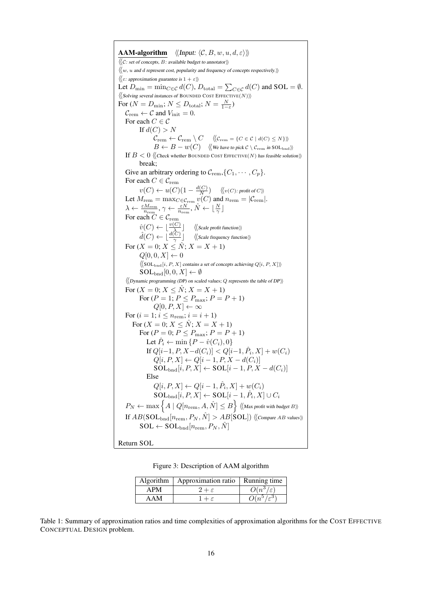**AAM-algorithm**  $\langle\langle Input: \langle C, B, w, u, d, \varepsilon \rangle \rangle\rangle$  $\langle \langle C : \text{set of concepts, } B : \text{available budget to annotator} \rangle \rangle$  $\langle \langle w, u \rangle$  and d represent cost, popularity and frequency of concepts respectively.)  $\langle \langle \varepsilon : \text{approximation guarantee is } 1 + \varepsilon \rangle \rangle$ Let  $D_{\min} = \min_{C \in \mathcal{C}} d(C)$ ,  $D_{\text{total}} = \sum_{C \in \mathcal{C}} d(C)$  and  $SOL = \emptyset$ .  $\langle\!\langle$  Solving several instances of BOUNDED COST EFFECTIVE(N))) For  $(N = D_{\text{min}}; N \leq D_{\text{total}}; N = \frac{N}{1-\varepsilon})$  $C_{\text{rem}} \leftarrow C$  and  $V_{\text{init}} = 0$ . For each  $C \in \mathcal{C}$ If  $d(C) > N$  $\mathcal{C}_{rem} \leftarrow \mathcal{C}_{rem} \setminus C \quad \langle \langle \mathcal{C}_{rem} = \{C \in \mathcal{C} \mid d(C) \leq N \} \rangle \rangle$  $B \leftarrow B - w(C)$   $\langle\langle$  We have to pick  $\mathcal{C} \setminus \mathcal{C}_{\mathrm{rem}}$  in SOL<sub>bnd</sub>) If  $B < 0$  (Check whether BOUNDED COST EFFECTIVE(N) has feasible solution)) break; Give an arbitrary ordering to  $C_{\text{rem}}$ ,  $\{C_1, \cdots, C_n\}$ . For each  $C \in \mathcal{C}_{\text{rem}}$  $v(C) \leftarrow u(C)(1 - \frac{d(C)}{N})$  $\frac{(C)}{N}$   $\Big\langle \!\!\!\Big\langle v(C) \Big\rangle$ : profit of  $C\big\rangle\!\!\!\Big\rangle$ Let  $M_{\text{rem}} = \max_{C \in \mathcal{C}_{\text{rem}}} v(C)$  and  $n_{\text{rem}} = |\mathcal{C}_{\text{rem}}|$ .  $\lambda \gets \frac{\varepsilon M_{\rm rem}}{n_{\rm rem}}, \gamma \gets \frac{\varepsilon N}{n_{\rm rem}}, \hat{N} \gets \lfloor \frac{N}{\gamma} \rfloor$ For each  $C \in \mathcal{C}_{\mathrm{rem}}$  $\hat{v}(C) \leftarrow \lfloor \frac{v(C)}{\lambda_C} \rfloor$  $\langle$ Scale profit function $\rangle$  $\hat{d}(C) \leftarrow |\frac{d(C)}{d(C)}|$ For  $(X = 0; X \leq \hat{N}; X = X + 1)$  $\langle \langle$  Scale frequency function $\rangle$  $Q[0, 0, X] \leftarrow 0$  $\langle \langle \text{SOL}_{\text{bnd}}[i, P, X] \rangle$  contains a set of concepts achieving  $Q[i, P, X]$ )  $SOL_{bnd}[0, 0, X] \leftarrow \emptyset$  $\langle \langle$ Dynamic programming (DP) on scaled values; Q represents the table of DP $\rangle$ For  $(X = 0; X \leq \hat{N}; X = X + 1)$ For  $(P = 1; P \leq P_{\text{max}}; P = P + 1)$  $Q[0, P, X] \leftarrow \infty$ For  $(i = 1; i \leq n_{\text{rem}}; i = i + 1)$ For  $(X = 0; X \leq \hat{N}; X = X + 1)$ For ( $P = 0$ ;  $P \le P_{\text{max}}$ ;  $P = P + 1$ ) Let  $\hat{P}_i \leftarrow \min\left\{P - \hat{v}(C_i), 0\right\}$ If  $Q[i-1, P, X-d(C_i)] < Q[i-1, \hat{P}_i, X] + w(C_i)$  $Q[i, P, X] \leftarrow Q[i-1, P, X - d(C_i)]$  $SOL_{bnd}[i, P, X] \leftarrow SOL[i-1, P, X - d(C_i)]$ Else  $Q[i, P, X] \leftarrow Q[i-1, \hat{P}_i, X] + w(C_i)$  $\mathrm{SOL}_{\mathrm{bnd}}[i, P, X] \leftarrow \mathrm{SOL}[i-1, \hat{P}_i, X] \cup C_i$  $P_N \gets \max\left\{A \mid Q[n_{\text{rem}}, A, \hat N] \leq B\right\}$   $\langle\!\langle$  Max profit with budget  $B \rangle\!\rangle$ If  $AB(SOL_{\text{bnd}}[n_{\text{rem}}, P_N, \hat{N}] > AB[SOL])$   $\langle\langle \text{Compare } AB \text{ values} \rangle$  $SOL \leftarrow SOL_{bnd}[n_{rem}, P_N, N]$ Return SOL

Figure 3: Description of AAM algorithm

| Algorithm  | Approximation ratio | Running time           |
|------------|---------------------|------------------------|
| <b>APM</b> | $2 + \varepsilon$   | $O(n^3/\varepsilon)$   |
| AAM        | $+\varepsilon$      | $O(n^5/\varepsilon^3)$ |

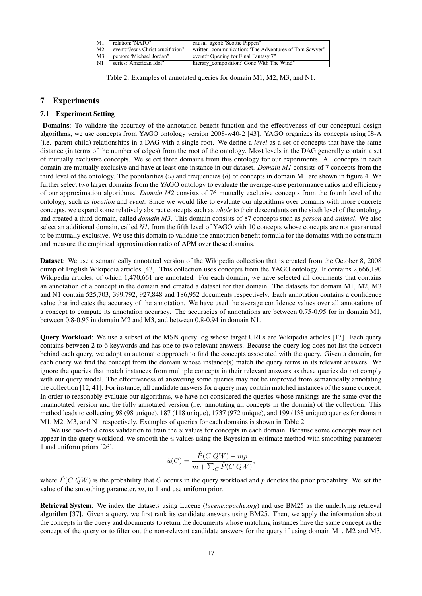| M1             | relation: "NATO"                  | causal agent: "Scottie Pippen"                        |
|----------------|-----------------------------------|-------------------------------------------------------|
| M <sub>2</sub> | event: "Jesus Christ crucifixion" | written communication: "The Adventures of Tom Sawyer" |
| M3             | person: "Michael Jordan"          | event:" Opening for Final Fantasy 7"                  |
| N1             | series: "American Idol"           | literary_composition: "Gone With The Wind"            |

Table 2: Examples of annotated queries for domain M1, M2, M3, and N1.

# 7 Experiments

### 7.1 Experiment Setting

Domains: To validate the accuracy of the annotation benefit function and the effectiveness of our conceptual design algorithms, we use concepts from YAGO ontology version 2008-w40-2 [43]. YAGO organizes its concepts using IS-A (i.e. parent-child) relationships in a DAG with a single root. We define a *level* as a set of concepts that have the same distance (in terms of the number of edges) from the root of the ontology. Most levels in the DAG generally contain a set of mutually exclusive concepts. We select three domains from this ontology for our experiments. All concepts in each domain are mutually exclusive and have at least one instance in our dataset. *Domain M1* consists of 7 concepts from the third level of the ontology. The popularities  $(u)$  and frequencies  $(d)$  of concepts in domain M1 are shown in figure 4. We further select two larger domains from the YAGO ontology to evaluate the average-case performance ratios and efficiency of our approximation algorithms. *Domain M2* consists of 76 mutually exclusive concepts from the fourth level of the ontology, such as *location* and *event*. Since we would like to evaluate our algorithms over domains with more concrete concepts, we expand some relatively abstract concepts such as *whole* to their descendants on the sixth level of the ontology and created a third domain, called *domain M3*. This domain consists of 87 concepts such as *person* and *animal*. We also select an additional domain, called *N1*, from the fifth level of YAGO with 10 concepts whose concepts are not guaranteed to be mutually exclusive. We use this domain to validate the annotation benefit formula for the domains with no constraint and measure the empirical approximation ratio of APM over these domains.

Dataset: We use a semantically annotated version of the Wikipedia collection that is created from the October 8, 2008 dump of English Wikipedia articles [43]. This collection uses concepts from the YAGO ontology. It contains 2,666,190 Wikipedia articles, of which 1,470,661 are annotated. For each domain, we have selected all documents that contains an annotation of a concept in the domain and created a dataset for that domain. The datasets for domain M1, M2, M3 and N1 contain 525,703, 399,792, 927,848 and 186,952 documents respectively. Each annotation contains a confidence value that indicates the accuracy of the annotation. We have used the average confidence values over all annotations of a concept to compute its annotation accuracy. The accuracies of annotations are between 0.75-0.95 for in domain M1, between 0.8-0.95 in domain M2 and M3, and between 0.8-0.94 in domain N1.

Query Workload: We use a subset of the MSN query log whose target URLs are Wikipedia articles [17]. Each query contains between 2 to 6 keywords and has one to two relevant answers. Because the query log does not list the concept behind each query, we adopt an automatic approach to find the concepts associated with the query. Given a domain, for each query we find the concept from the domain whose instance(s) match the query terms in its relevant answers. We ignore the queries that match instances from multiple concepts in their relevant answers as these queries do not comply with our query model. The effectiveness of answering some queries may not be improved from semantically annotating the collection [12, 41]. For instance, all candidate answers for a query may contain matched instances of the same concept. In order to reasonably evaluate our algorithms, we have not considered the queries whose rankings are the same over the unannotated version and the fully annotated version (i.e. annotating all concepts in the domain) of the collection. This method leads to collecting 98 (98 unique), 187 (118 unique), 1737 (972 unique), and 199 (138 unique) queries for domain M1, M2, M3, and N1 respectively. Examples of queries for each domains is shown in Table 2.

We use two-fold cross validation to train the  $u$  values for concepts in each domain. Because some concepts may not appear in the query workload, we smooth the  $u$  values using the Bayesian m-estimate method with smoothing parameter 1 and uniform priors [26].

$$
\hat{u}(C) = \frac{\hat{P}(C|QW) + mp}{m + \sum_{C} \hat{P}(C|QW)},
$$

where  $\hat{P}(C|QW)$  is the probability that C occurs in the query workload and p denotes the prior probability. We set the value of the smoothing parameter,  $m$ , to 1 and use uniform prior.

Retrieval System: We index the datasets using Lucene (*lucene.apache.org*) and use BM25 as the underlying retrieval algorithm [37]. Given a query, we first rank its candidate answers using BM25. Then, we apply the information about the concepts in the query and documents to return the documents whose matching instances have the same concept as the concept of the query or to filter out the non-relevant candidate answers for the query if using domain M1, M2 and M3,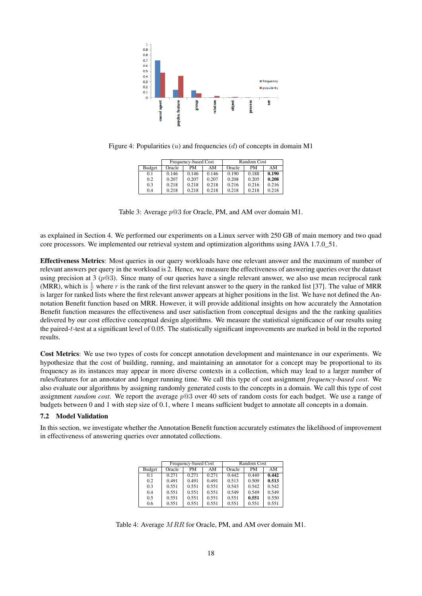

Figure 4: Popularities  $(u)$  and frequencies  $(d)$  of concepts in domain M1

|        | Frequency-based Cost |       |       | Random Cost |       |       |
|--------|----------------------|-------|-------|-------------|-------|-------|
| Budget | Oracle               | PМ    | ΑM    | Oracle      | PМ    | AM    |
| 0.1    | 0.146                | 0.146 | 0.146 | 0.190       | 0.188 | 0.190 |
| 0.2    | 0.207                | 0.207 | 0.207 | 0.208       | 0.205 | 0.208 |
| 0.3    | 0.218                | 0.218 | 0.218 | 0.216       | 0.216 | 0.216 |
| 0.4    | 0.218                | 0.218 | 0.218 | 0.218       | 0.218 | 0.218 |

Table 3: Average p@3 for Oracle, PM, and AM over domain M1.

as explained in Section 4. We performed our experiments on a Linux server with 250 GB of main memory and two quad core processors. We implemented our retrieval system and optimization algorithms using JAVA 1.7.0\_51.

Effectiveness Metrics: Most queries in our query workloads have one relevant answer and the maximum of number of relevant answers per query in the workload is 2. Hence, we measure the effectiveness of answering queries over the dataset using precision at 3 ( $p@3$ ). Since many of our queries have a single relevant answer, we also use mean reciprocal rank (MRR), which is  $\frac{1}{r}$  where r is the rank of the first relevant answer to the query in the ranked list [37]. The value of MRR is larger for ranked lists where the first relevant answer appears at higher positions in the list. We have not defined the Annotation Benefit function based on MRR. However, it will provide additional insights on how accurately the Annotation Benefit function measures the effectiveness and user satisfaction from conceptual designs and the the ranking qualities delivered by our cost effective conceptual design algorithms. We measure the statistical significance of our results using the paired-t-test at a significant level of 0.05. The statistically significant improvements are marked in bold in the reported results.

Cost Metrics: We use two types of costs for concept annotation development and maintenance in our experiments. We hypothesize that the cost of building, running, and maintaining an annotator for a concept may be proportional to its frequency as its instances may appear in more diverse contexts in a collection, which may lead to a larger number of rules/features for an annotator and longer running time. We call this type of cost assignment *frequency-based cost*. We also evaluate our algorithms by assigning randomly generated costs to the concepts in a domain. We call this type of cost assignment *random cost*. We report the average  $p@3$  over 40 sets of random costs for each budget. We use a range of budgets between 0 and 1 with step size of 0.1, where 1 means sufficient budget to annotate all concepts in a domain.

### 7.2 Model Validation

In this section, we investigate whether the Annotation Benefit function accurately estimates the likelihood of improvement in effectiveness of answering queries over annotated collections.

|               | Frequency-based Cost |       |       | Random Cost |           |       |  |
|---------------|----------------------|-------|-------|-------------|-----------|-------|--|
| <b>Budget</b> | Oracle               | PМ    | AM    | Oracle      | <b>PM</b> | AM    |  |
| 0.1           | 0.271                | 0.271 | 0.271 | 0.442       | 0.440     | 0.442 |  |
| 0.2           | 0.491                | 0.491 | 0.491 | 0.513       | 0.509     | 0.513 |  |
| 0.3           | 0.551                | 0.551 | 0.551 | 0.543       | 0.542     | 0.542 |  |
| 0.4           | 0.551                | 0.551 | 0.551 | 0.549       | 0.549     | 0.549 |  |
| 0.5           | 0.551                | 0.551 | 0.551 | 0.551       | 0.551     | 0.550 |  |
| 0.6           | 0.551                | 0.551 | 0.551 | 0.551       | 0.551     | 0.551 |  |

Table 4: Average MRR for Oracle, PM, and AM over domain M1.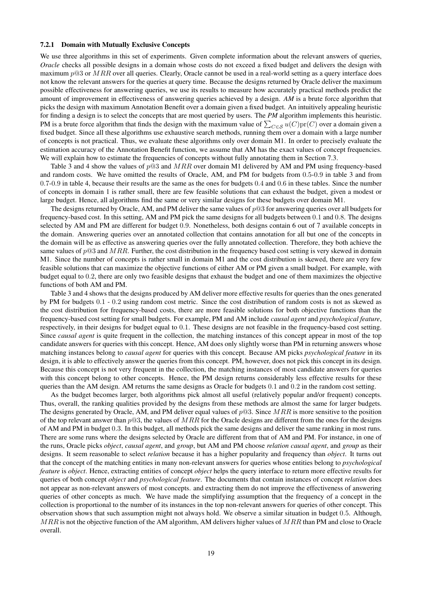#### 7.2.1 Domain with Mutually Exclusive Concepts

We use three algorithms in this set of experiments. Given complete information about the relevant answers of queries, *Oracle* checks all possible designs in a domain whose costs do not exceed a fixed budget and delivers the design with maximum  $p@3$  or  $MRR$  over all queries. Clearly, Oracle cannot be used in a real-world setting as a query interface does not know the relevant answers for the queries at query time. Because the designs returned by Oracle deliver the maximum possible effectiveness for answering queries, we use its results to measure how accurately practical methods predict the amount of improvement in effectiveness of answering queries achieved by a design. *AM* is a brute force algorithm that picks the design with maximum Annotation Benefit over a domain given a fixed budget. An intuitively appealing heuristic for finding a design is to select the concepts that are most queried by users. The *PM* algorithm implements this heuristic. PM is a brute force algorithm that finds the design with the maximum value of  $\sum_{C \in S} u(C) \text{pr}(C)$  over a domain given a fixed budget. Since all these algorithms use exhaustive search methods, running them over a domain with a large number of concepts is not practical. Thus, we evaluate these algorithms only over domain M1. In order to precisely evaluate the estimation accuracy of the Annotation Benefit function, we assume that AM has the exact values of concept frequencies. We will explain how to estimate the frequencies of concepts without fully annotating them in Section 7.3.

Table 3 and 4 show the values of  $p@3$  and  $MRR$  over domain M1 delivered by AM and PM using frequency-based and random costs. We have omitted the results of Oracle, AM, and PM for budgets from 0.5-0.9 in table 3 and from 0.7-0.9 in table 4, because their results are the same as the ones for budgets 0.4 and 0.6 in these tables. Since the number of concepts in domain 1 is rather small, there are few feasible solutions that can exhaust the budget, given a modest or large budget. Hence, all algorithms find the same or very similar designs for these budgets over domain M1.

The designs returned by Oracle, AM, and PM deliver the same values of  $p@3$  for answering queries over all budgets for frequency-based cost. In this setting, AM and PM pick the same designs for all budgets between 0.1 and 0.8. The designs selected by AM and PM are different for budget 0.9. Nonetheless, both designs contain 6 out of 7 available concepts in the domain. Answering queries over an annotated collection that contains annotation for all but one of the concepts in the domain will be as effective as answering queries over the fully annotated collection. Therefore, they both achieve the same values of  $p@3$  and MRR. Further, the cost distribution in the frequency based cost setting is very skewed in domain M1. Since the number of concepts is rather small in domain M1 and the cost distribution is skewed, there are very few feasible solutions that can maximize the objective functions of either AM or PM given a small budget. For example, with budget equal to 0.2, there are only two feasible designs that exhaust the budget and one of them maximizes the objective functions of both AM and PM.

Table 3 and 4 shows that the designs produced by AM deliver more effective results for queries than the ones generated by PM for budgets 0.1 - 0.2 using random cost metric. Since the cost distribution of random costs is not as skewed as the cost distribution for frequency-based costs, there are more feasible solutions for both objective functions than the frequency-based cost setting for small budgets. For example, PM and AM include *causal agent* and *psychological feature*, respectively, in their designs for budget equal to 0.1. These designs are not feasible in the frequency-based cost setting. Since *causal agent* is quite frequent in the collection, the matching instances of this concept appear in most of the top candidate answers for queries with this concept. Hence, AM does only slightly worse than PM in returning answers whose matching instances belong to *causal agent* for queries with this concept. Because AM picks *psychological feature* in its design, it is able to effectively answer the queries from this concept. PM, however, does not pick this concept in its design. Because this concept is not very frequent in the collection, the matching instances of most candidate answers for queries with this concept belong to other concepts. Hence, the PM design returns considerably less effective results for these queries than the AM design. AM returns the same designs as Oracle for budgets 0.1 and 0.2 in the random cost setting.

As the budget becomes larger, both algorithms pick almost all useful (relatively popular and/or frequent) concepts. Thus, overall, the ranking qualities provided by the designs from these methods are almost the same for larger budgets. The designs generated by Oracle, AM, and PM deliver equal values of  $p@3$ . Since  $MRR$  is more sensitive to the position of the top relevant answer than  $p@3$ , the values of  $MRR$  for the Oracle designs are different from the ones for the designs of AM and PM in budget 0.3. In this budget, all methods pick the same designs and deliver the same ranking in most runs. There are some runs where the designs selected by Oracle are different from that of AM and PM. For instance, in one of the runs, Oracle picks *object*, *causal agent*, and *group*, but AM and PM choose *relation causal agent*, and *group* as their designs. It seem reasonable to select *relation* because it has a higher popularity and frequency than *object*. It turns out that the concept of the matching entities in many non-relevant answers for queries whose entities belong to *psychological feature* is *object*. Hence, extracting entities of concept *object* helps the query interface to return more effective results for queries of both concept *object* and *psychological feature*. The documents that contain instances of concept *relation* does not appear as non-relevant answers of most concepts. and extracting them do not improve the effectiveness of answering queries of other concepts as much. We have made the simplifying assumption that the frequency of a concept in the collection is proportional to the number of its instances in the top non-relevant answers for queries of other concept. This observation shows that such assumption might not always hold. We observe a similar situation in budget 0.5. Although,  $MRR$  is not the objective function of the AM algorithm, AM delivers higher values of  $MRR$  than PM and close to Oracle overall.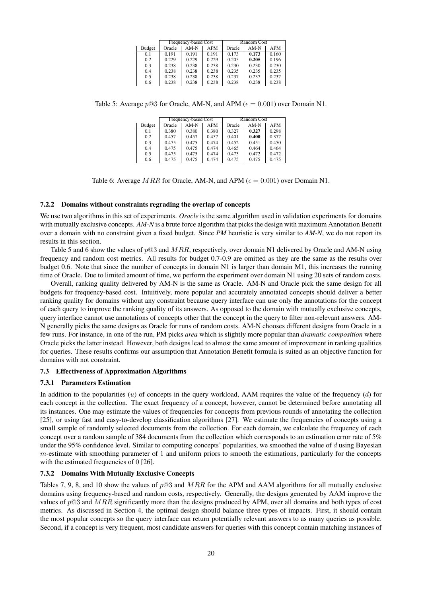|        | Frequency-based Cost |        |                  | Random Cost |        |            |
|--------|----------------------|--------|------------------|-------------|--------|------------|
| Budget | Oracle               | $AM-N$ | $\overline{APM}$ | Oracle      | $AM-N$ | <b>APM</b> |
| 0.1    | 0.191                | 0.191  | 0.191            | 0.173       | 0.173  | 0.160      |
| 0.2    | 0.229                | 0.229  | 0.229            | 0.205       | 0.205  | 0.196      |
| 0.3    | 0.238                | 0.238  | 0.238            | 0.230       | 0.230  | 0.230      |
| 0.4    | 0.238                | 0.238  | 0.238            | 0.235       | 0.235  | 0.235      |
| 0.5    | 0.238                | 0.238  | 0.238            | 0.237       | 0.237  | 0.237      |
| 0.6    | 0.238                | 0.238  | 0.238            | 0.238       | 0.238  | 0.238      |

Table 5: Average  $p@3$  for Oracle, AM-N, and APM ( $\epsilon = 0.001$ ) over Domain N1.

|        | Frequency-based Cost |        |            | <b>Random Cost</b> |        |            |
|--------|----------------------|--------|------------|--------------------|--------|------------|
| Budget | Oracle               | $AM-N$ | <b>APM</b> | Oracle             | $AM-N$ | <b>APM</b> |
| 0.1    | 0.380                | 0.380  | 0.380      | 0.327              | 0.327  | 0.298      |
| 0.2    | 0.457                | 0.457  | 0.457      | 0.401              | 0.400  | 0.377      |
| 0.3    | 0.475                | 0.475  | 0.474      | 0.452              | 0.451  | 0.450      |
| 0.4    | 0.475                | 0.475  | 0.474      | 0.465              | 0.464  | 0.464      |
| 0.5    | 0.475                | 0.475  | 0.474      | 0.473              | 0.472  | 0.472      |
| 0.6    | 0.475                | 0.475  | 0.474      | 0.475              | 0.475  | 0.475      |

Table 6: Average MRR for Oracle, AM-N, and APM ( $\epsilon = 0.001$ ) over Domain N1.

### 7.2.2 Domains without constraints regrading the overlap of concepts

We use two algorithms in this set of experiments. *Oracle* is the same algorithm used in validation experiments for domains with mutually exclusive concepts. *AM-N* is a brute force algorithm that picks the design with maximum Annotation Benefit over a domain with no constraint given a fixed budget. Since *PM* heuristic is very similar to *AM-N*, we do not report its results in this section.

Table 5 and 6 show the values of  $p@3$  and  $MRR$ , respectively, over domain N1 delivered by Oracle and AM-N using frequency and random cost metrics. All results for budget 0.7-0.9 are omitted as they are the same as the results over budget 0.6. Note that since the number of concepts in domain N1 is larger than domain M1, this increases the running time of Oracle. Due to limited amount of time, we perform the experiment over domain N1 using 20 sets of random costs.

Overall, ranking quality delivered by AM-N is the same as Oracle. AM-N and Oracle pick the same design for all budgets for frequency-based cost. Intuitively, more popular and accurately annotated concepts should deliver a better ranking quality for domains without any constraint because query interface can use only the annotations for the concept of each query to improve the ranking quality of its answers. As opposed to the domain with mutually exclusive concepts, query interface cannot use annotations of concepts other that the concept in the query to filter non-relevant answers. AM-N generally picks the same designs as Oracle for runs of random costs. AM-N chooses different designs from Oracle in a few runs. For instance, in one of the run, PM picks *area* which is slightly more popular than *dramatic composition* where Oracle picks the latter instead. However, both designs lead to almost the same amount of improvement in ranking qualities for queries. These results confirms our assumption that Annotation Benefit formula is suited as an objective function for domains with not constraint.

### 7.3 Effectiveness of Approximation Algorithms

### 7.3.1 Parameters Estimation

In addition to the popularities  $(u)$  of concepts in the query workload, AAM requires the value of the frequency  $(d)$  for each concept in the collection. The exact frequency of a concept, however, cannot be determined before annotating all its instances. One may estimate the values of frequencies for concepts from previous rounds of annotating the collection [25], or using fast and easy-to-develop classification algorithms [27]. We estimate the frequencies of concepts using a small sample of randomly selected documents from the collection. For each domain, we calculate the frequency of each concept over a random sample of 384 documents from the collection which corresponds to an estimation error rate of 5% under the 95% confidence level. Similar to computing concepts' popularities, we smoothed the value of  $d$  using Bayesian  $m$ -estimate with smoothing parameter of 1 and uniform priors to smooth the estimations, particularly for the concepts with the estimated frequencies of 0 [26].

#### 7.3.2 Domains With Mutually Exclusive Concepts

Tables 7, 9, 8, and 10 show the values of  $p@3$  and  $MRR$  for the APM and AAM algorithms for all mutually exclusive domains using frequency-based and random costs, respectively. Generally, the designs generated by AAM improve the values of  $p@3$  and  $MRR$  significantly more than the designs produced by APM, over all domains and both types of cost metrics. As discussed in Section 4, the optimal design should balance three types of impacts. First, it should contain the most popular concepts so the query interface can return potentially relevant answers to as many queries as possible. Second, if a concept is very frequent, most candidate answers for queries with this concept contain matching instances of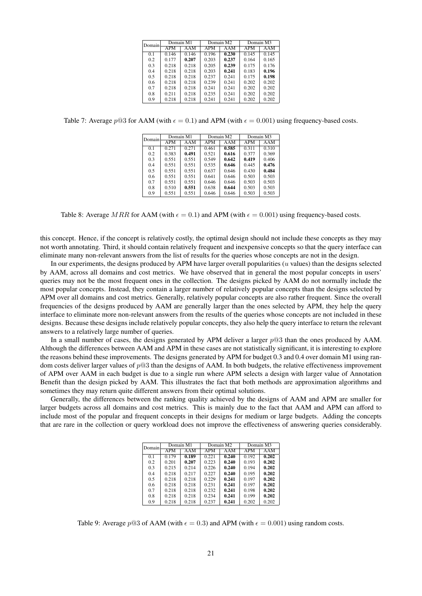| Domain | Domain M1 |       |       | Domain M2 |       | Domain M3 |  |
|--------|-----------|-------|-------|-----------|-------|-----------|--|
|        | APM       | AAM   | APM   | AAM       | APM   | AAM       |  |
| 0.1    | 0.146     | 0.146 | 0.196 | 0.230     | 0.145 | 0.145     |  |
| 0.2    | 0.177     | 0.207 | 0.203 | 0.237     | 0.164 | 0.165     |  |
| 0.3    | 0.218     | 0.218 | 0.205 | 0.239     | 0.175 | 0.176     |  |
| 0.4    | 0.218     | 0.218 | 0.203 | 0.241     | 0.183 | 0.196     |  |
| 0.5    | 0.218     | 0.218 | 0.237 | 0.241     | 0.175 | 0.198     |  |
| 0.6    | 0.218     | 0.218 | 0.239 | 0.241     | 0.202 | 0.202     |  |
| 0.7    | 0.218     | 0.218 | 0.241 | 0.241     | 0.202 | 0.202     |  |
| 0.8    | 0.211     | 0.218 | 0.235 | 0.241     | 0.202 | 0.202     |  |
| 0.9    | 0.218     | 0.218 | 0.241 | 0.241     | 0.202 | 0.202     |  |

Table 7: Average  $p@3$  for AAM (with  $\epsilon = 0.1$ ) and APM (with  $\epsilon = 0.001$ ) using frequency-based costs.

| Domain |       | Domain M1 |       | Domain M <sub>2</sub> |       | Domain M3 |  |
|--------|-------|-----------|-------|-----------------------|-------|-----------|--|
|        | APM   | AAM       | APM   | AAM                   | APM   | AAM       |  |
| 0.1    | 0.271 | 0.271     | 0.461 | 0.585                 | 0.311 | 0.310     |  |
| 0.2    | 0.383 | 0.491     | 0.521 | 0.616                 | 0.377 | 0.369     |  |
| 0.3    | 0.551 | 0.551     | 0.549 | 0.642                 | 0.419 | 0.406     |  |
| 0.4    | 0.551 | 0.551     | 0.535 | 0.646                 | 0.445 | 0.476     |  |
| 0.5    | 0.551 | 0.551     | 0.637 | 0.646                 | 0.430 | 0.484     |  |
| 0.6    | 0.551 | 0.551     | 0.641 | 0.646                 | 0.503 | 0.503     |  |
| 0.7    | 0.551 | 0.551     | 0.646 | 0.646                 | 0.503 | 0.503     |  |
| 0.8    | 0.510 | 0.551     | 0.638 | 0.644                 | 0.503 | 0.503     |  |
| 0.9    | 0.551 | 0.551     | 0.646 | 0.646                 | 0.503 | 0.503     |  |

Table 8: Average MRR for AAM (with  $\epsilon = 0.1$ ) and APM (with  $\epsilon = 0.001$ ) using frequency-based costs.

this concept. Hence, if the concept is relatively costly, the optimal design should not include these concepts as they may not worth annotating. Third, it should contain relatively frequent and inexpensive concepts so that the query interface can eliminate many non-relevant answers from the list of results for the queries whose concepts are not in the design.

In our experiments, the designs produced by APM have larger overall popularities  $(u$  values) than the designs selected by AAM, across all domains and cost metrics. We have observed that in general the most popular concepts in users' queries may not be the most frequent ones in the collection. The designs picked by AAM do not normally include the most popular concepts. Instead, they contain a larger number of relatively popular concepts than the designs selected by APM over all domains and cost metrics. Generally, relatively popular concepts are also rather frequent. Since the overall frequencies of the designs produced by AAM are generally larger than the ones selected by APM, they help the query interface to eliminate more non-relevant answers from the results of the queries whose concepts are not included in these designs. Because these designs include relatively popular concepts, they also help the query interface to return the relevant answers to a relatively large number of queries.

In a small number of cases, the designs generated by APM deliver a larger  $p@3$  than the ones produced by AAM. Although the differences between AAM and APM in these cases are not statistically significant, it is interesting to explore the reasons behind these improvements. The designs generated by APM for budget 0.3 and 0.4 over domain M1 using random costs deliver larger values of  $p@3$  than the designs of AAM. In both budgets, the relative effectiveness improvement of APM over AAM in each budget is due to a single run where APM selects a design with larger value of Annotation Benefit than the design picked by AAM. This illustrates the fact that both methods are approximation algorithms and sometimes they may return quite different answers from their optimal solutions.

Generally, the differences between the ranking quality achieved by the designs of AAM and APM are smaller for larger budgets across all domains and cost metrics. This is mainly due to the fact that AAM and APM can afford to include most of the popular and frequent concepts in their designs for medium or large budgets. Adding the concepts that are rare in the collection or query workload does not improve the effectiveness of answering queries considerably.

| Domain |       | Domain M1 | Domain M2 |       | Domain M3  |       |
|--------|-------|-----------|-----------|-------|------------|-------|
|        | APM   | AAM       | APM       | AAM   | <b>APM</b> | AAM   |
| 0.1    | 0.179 | 0.189     | 0.221     | 0.240 | 0.192      | 0.202 |
| 0.2    | 0.201 | 0.207     | 0.223     | 0.240 | 0.193      | 0.202 |
| 0.3    | 0.215 | 0.214     | 0.226     | 0.240 | 0.194      | 0.202 |
| 0.4    | 0.218 | 0.217     | 0.227     | 0.240 | 0.195      | 0.202 |
| 0.5    | 0.218 | 0.218     | 0.229     | 0.241 | 0.197      | 0.202 |
| 0.6    | 0.218 | 0.218     | 0.231     | 0.241 | 0.197      | 0.202 |
| 0.7    | 0.218 | 0.218     | 0.232     | 0.241 | 0.198      | 0.202 |
| 0.8    | 0.218 | 0.218     | 0.234     | 0.241 | 0.199      | 0.202 |
| 0.9    | 0.218 | 0.218     | 0.237     | 0.241 | 0.202      | 0.202 |

Table 9: Average  $p@3$  of AAM (with  $\epsilon = 0.3$ ) and APM (with  $\epsilon = 0.001$ ) using random costs.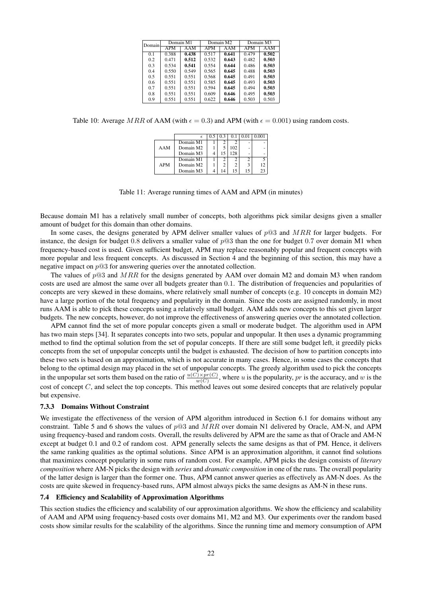| Domain | Domain M1 |       | Domain M <sub>2</sub> |       | Domain M3 |       |
|--------|-----------|-------|-----------------------|-------|-----------|-------|
|        | APM       | AAM   | <b>APM</b>            | AĀM   | APM       | AAM   |
| 0.1    | 0.388     | 0.438 | 0.517                 | 0.641 | 0.479     | 0.502 |
| 0.2    | 0.471     | 0.512 | 0.532                 | 0.643 | 0.482     | 0.503 |
| 0.3    | 0.534     | 0.541 | 0.554                 | 0.644 | 0.486     | 0.503 |
| 0.4    | 0.550     | 0.549 | 0.565                 | 0.645 | 0.488     | 0.503 |
| 0.5    | 0.551     | 0.551 | 0.568                 | 0.645 | 0.491     | 0.503 |
| 0.6    | 0.551     | 0.551 | 0.585                 | 0.645 | 0.493     | 0.503 |
| 0.7    | 0.551     | 0.551 | 0.594                 | 0.645 | 0.494     | 0.503 |
| 0.8    | 0.551     | 0.551 | 0.609                 | 0.646 | 0.495     | 0.503 |
| 0.9    | 0.551     | 0.551 | 0.622                 | 0.646 | 0.503     | 0.503 |

Table 10: Average MRR of AAM (with  $\epsilon = 0.3$ ) and APM (with  $\epsilon = 0.001$ ) using random costs.

|  |            | E         |    |                             |    |  |
|--|------------|-----------|----|-----------------------------|----|--|
|  | AAM        | Domain M1 |    |                             |    |  |
|  |            | Domain M2 |    | 102                         |    |  |
|  |            | Domain M3 | 15 | 128                         |    |  |
|  | <b>APM</b> | Domain M1 |    |                             |    |  |
|  |            | Domain M2 |    | $\mathcal{D}_{\mathcal{A}}$ | 3  |  |
|  |            | Domain M3 | Δ  | 15                          | 15 |  |
|  |            |           |    |                             |    |  |

Table 11: Average running times of AAM and APM (in minutes)

Because domain M1 has a relatively small number of concepts, both algorithms pick similar designs given a smaller amount of budget for this domain than other domains.

In some cases, the designs generated by APM deliver smaller values of  $p@3$  and MRR for larger budgets. For instance, the design for budget 0.8 delivers a smaller value of  $p@3$  than the one for budget 0.7 over domain M1 when frequency-based cost is used. Given sufficient budget, APM may replace reasonably popular and frequent concepts with more popular and less frequent concepts. As discussed in Section 4 and the beginning of this section, this may have a negative impact on p@3 for answering queries over the annotated collection.

The values of  $p@3$  and  $MRR$  for the designs generated by AAM over domain M2 and domain M3 when random costs are used are almost the same over all budgets greater than 0.1. The distribution of frequencies and popularities of concepts are very skewed in these domains, where relatively small number of concepts (e.g. 10 concepts in domain M2) have a large portion of the total frequency and popularity in the domain. Since the costs are assigned randomly, in most runs AAM is able to pick these concepts using a relatively small budget. AAM adds new concepts to this set given larger budgets. The new concepts, however, do not improve the effectiveness of answering queries over the annotated collection.

APM cannot find the set of more popular concepts given a small or moderate budget. The algorithm used in APM has two main steps [34]. It separates concepts into two sets, popular and unpopular. It then uses a dynamic programming method to find the optimal solution from the set of popular concepts. If there are still some budget left, it greedily picks concepts from the set of unpopular concepts until the budget is exhausted. The decision of how to partition concepts into these two sets is based on an approximation, which is not accurate in many cases. Hence, in some cases the concepts that belong to the optimal design may placed in the set of unpopular concepts. The greedy algorithm used to pick the concepts in the unpopular set sorts them based on the ratio of  $\frac{u(C) \times pr(C)}{w(C)}$ , where u is the popularity, pr is the accuracy, and w is the cost of concept C, and select the top concepts. This method leaves out some desired concepts that are relatively popular but expensive.

#### 7.3.3 Domains Without Constraint

We investigate the effectiveness of the version of APM algorithm introduced in Section 6.1 for domains without any constraint. Table 5 and 6 shows the values of  $p@3$  and  $MRR$  over domain N1 delivered by Oracle, AM-N, and APM using frequency-based and random costs. Overall, the results delivered by APM are the same as that of Oracle and AM-N except at budget 0.1 and 0.2 of random cost. APM generally selects the same designs as that of PM. Hence, it delivers the same ranking qualities as the optimal solutions. Since APM is an approximation algorithm, it cannot find solutions that maximizes concept popularity in some runs of random cost. For example, APM picks the design consists of *literary composition* where AM-N picks the design with *series* and *dramatic composition* in one of the runs. The overall popularity of the latter design is larger than the former one. Thus, APM cannot answer queries as effectively as AM-N does. As the costs are quite skewed in frequency-based runs, APM almost always picks the same designs as AM-N in these runs.

### 7.4 Efficiency and Scalability of Approximation Algorithms

This section studies the efficiency and scalability of our approximation algorithms. We show the efficiency and scalability of AAM and APM using frequency-based costs over domains M1, M2 and M3. Our experiments over the random based costs show similar results for the scalability of the algorithms. Since the running time and memory consumption of APM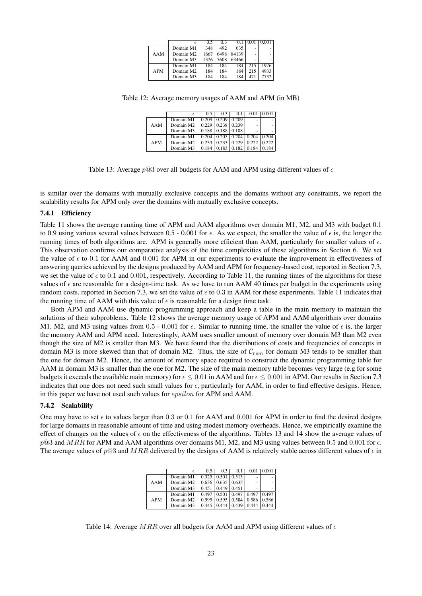|  |            | $\epsilon$ | 0.5  | 0.3  |       |     |      |
|--|------------|------------|------|------|-------|-----|------|
|  | AAM        | Domain M1  | 348  | 492  | 635   | ۰   |      |
|  |            | Domain M2  | 1667 | 6498 | 84139 |     |      |
|  |            | Domain M3  | 1326 | 5608 | 63466 |     |      |
|  | <b>APM</b> | Domain M1  | 184  | 184  | 184   | 215 | 1976 |
|  |            | Domain M2  | 184  | 184  | 184   | 215 | 4933 |
|  |            | Domain M3  | 184  | 184  | 184   | 471 | 7732 |
|  |            |            |      |      |       |     |      |

Table 12: Average memory usages of AAM and APM (in MB)

|            | $\epsilon$ |       | 0.3   |                               |                      |       |
|------------|------------|-------|-------|-------------------------------|----------------------|-------|
|            | Domain M1  | 0.209 | 0.209 | 0.209                         | $\ddot{\phantom{1}}$ |       |
| AAM        | Domain M2  | 0.229 | 0.238 | 10.239                        | ÷,                   |       |
|            | Domain M3  | 0.188 | 0.188 | 10.188                        | -                    |       |
| <b>APM</b> | Domain M1  | 0.204 |       | $0.205 \mid 0.204$            | 0.204                | 0.204 |
|            | Domain M2  | 0.233 | 0.233 | 0.229                         | 0.222                | 0.222 |
|            | Domain M3  | 0.184 |       | $0.183 \mid 0.182 \mid 0.184$ |                      | 0.184 |

Table 13: Average  $p@3$  over all budgets for AAM and APM using different values of  $\epsilon$ 

is similar over the domains with mutually exclusive concepts and the domains without any constraints, we report the scalability results for APM only over the domains with mutually exclusive concepts.

### 7.4.1 Efficiency

Table 11 shows the average running time of APM and AAM algorithms over domain M1, M2, and M3 with budget 0.1 to 0.9 using various several values between 0.5 - 0.001 for  $\epsilon$ . As we expect, the smaller the value of  $\epsilon$  is, the longer the running times of both algorithms are. APM is generally more efficient than AAM, particularly for smaller values of  $\epsilon$ . This observation confirms our comparative analysis of the time complexities of these algorithms in Section 6. We set the value of  $\epsilon$  to 0.1 for AAM and 0.001 for APM in our experiments to evaluate the improvement in effectiveness of answering queries achieved by the designs produced by AAM and APM for frequency-based cost, reported in Section 7.3, we set the value of  $\epsilon$  to 0.1 and 0.001, respectively. According to Table 11, the running times of the algorithms for these values of  $\epsilon$  are reasonable for a design-time task. As we have to run AAM 40 times per budget in the experiments using random costs, reported in Section 7.3, we set the value of  $\epsilon$  to 0.3 in AAM for these experiments. Table 11 indicates that the running time of AAM with this value of  $\epsilon$  is reasonable for a design time task.

Both APM and AAM use dynamic programming approach and keep a table in the main memory to maintain the solutions of their subproblems. Table 12 shows the average memory usage of APM and AAM algorithms over domains M1, M2, and M3 using values from  $0.5$  -  $0.001$  for  $\epsilon$ . Similar to running time, the smaller the value of  $\epsilon$  is, the larger the memory AAM and APM need. Interestingly, AAM uses smaller amount of memory over domain M3 than M2 even though the size of M2 is smaller than M3. We have found that the distributions of costs and frequencies of concepts in domain M3 is more skewed than that of domain M2. Thus, the size of  $C_{rem}$  for domain M3 tends to be smaller than the one for domain M2. Hence, the amount of memory space required to construct the dynamic programming table for AAM in domain M3 is smaller than the one for M2. The size of the main memory table becomes very large (e.g for some budgets it exceeds the available main memory) for  $\epsilon \le 0.01$  in AAM and for  $\epsilon \le 0.001$  in APM. Our results in Section 7.3 indicates that one does not need such small values for  $\epsilon$ , particularly for AAM, in order to find effective designs. Hence, in this paper we have not used such values for epsilon for APM and AAM.

#### 7.4.2 Scalability

One may have to set  $\epsilon$  to values larger than 0.3 or 0.1 for AAM and 0.001 for APM in order to find the desired designs for large domains in reasonable amount of time and using modest memory overheads. Hence, we empirically examine the effect of changes on the values of  $\epsilon$  on the effectiveness of the algorithms. Tables 13 and 14 show the average values of  $p@3$  and MRR for APM and AAM algorithms over domains M1, M2, and M3 using values between 0.5 and 0.001 for  $\epsilon$ . The average values of  $p@3$  and MRR delivered by the designs of AAM is relatively stable across different values of  $\epsilon$  in

|            | $\epsilon$ | 0.5   | 0.3                                   | 0.1   | 0.01               | 0.001 |
|------------|------------|-------|---------------------------------------|-------|--------------------|-------|
|            | Domain M1  |       | $0.325 \mid 0.501 \mid 0.513$         |       | ۰                  |       |
| AAM        | Domain M2  |       | $0.636 \mid 0.635 \mid 0.635$         |       | ٠                  |       |
|            | Domain M3  | 0.451 | 0.449                                 | 0.451 | ٠                  |       |
|            | Domain M1  |       | $0.497$   $0.501$   $0.497$   $0.497$ |       |                    | 0.497 |
| <b>APM</b> | Domain M2  |       | $0.595 \mid 0.595 \mid 0.584 \mid$    |       | 0.586              | 0.586 |
|            | Domain M3  | 0.445 | 0.444                                 |       | $0.439 \mid 0.444$ | 0.444 |

Table 14: Average MRR over all budgets for AAM and APM using different values of  $\epsilon$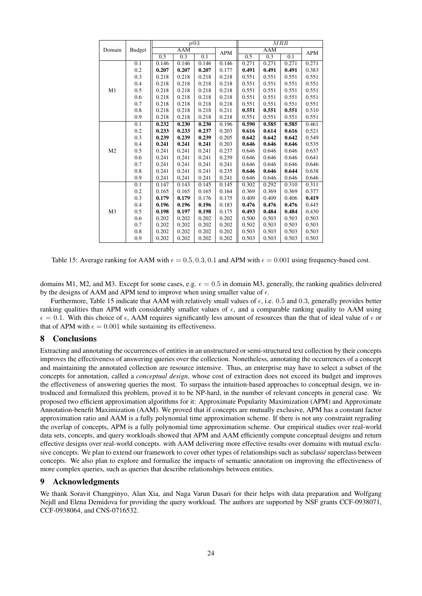|                | Budget | p@3   |       |            | MRR   |       |       |            |       |
|----------------|--------|-------|-------|------------|-------|-------|-------|------------|-------|
| Domain         |        | AAM   |       | <b>APM</b> | AAM   |       |       | <b>APM</b> |       |
|                |        | 0.5   | 0.3   | 0.1        |       | 0.5   | 0.3   | 0.1        |       |
|                | 0.1    | 0.146 | 0.146 | 0.146      | 0.146 | 0.271 | 0.271 | 0.271      | 0.271 |
|                | 0.2    | 0.207 | 0.207 | 0.207      | 0.177 | 0.491 | 0.491 | 0.491      | 0.383 |
|                | 0.3    | 0.218 | 0.218 | 0.218      | 0.218 | 0.551 | 0.551 | 0.551      | 0.551 |
|                | 0.4    | 0.218 | 0.218 | 0.218      | 0.218 | 0.551 | 0.551 | 0.551      | 0.551 |
| M1             | 0.5    | 0.218 | 0.218 | 0.218      | 0.218 | 0.551 | 0.551 | 0.551      | 0.551 |
|                | 0.6    | 0.218 | 0.218 | 0.218      | 0.218 | 0.551 | 0.551 | 0.551      | 0.551 |
|                | 0.7    | 0.218 | 0.218 | 0.218      | 0.218 | 0.551 | 0.551 | 0.551      | 0.551 |
|                | 0.8    | 0.218 | 0.218 | 0.218      | 0.211 | 0.551 | 0.551 | 0.551      | 0.510 |
|                | 0.9    | 0.218 | 0.218 | 0.218      | 0.218 | 0.551 | 0.551 | 0.551      | 0.551 |
|                | 0.1    | 0.232 | 0.230 | 0.230      | 0.196 | 0.590 | 0.585 | 0.585      | 0.461 |
|                | 0.2    | 0.233 | 0.233 | 0.237      | 0.203 | 0.616 | 0.614 | 0.616      | 0.521 |
|                | 0.3    | 0.239 | 0.239 | 0.239      | 0.205 | 0.642 | 0.642 | 0.642      | 0.549 |
|                | 0.4    | 0.241 | 0.241 | 0.241      | 0.203 | 0.646 | 0.646 | 0.646      | 0.535 |
| M <sub>2</sub> | 0.5    | 0.241 | 0.241 | 0.241      | 0.237 | 0.646 | 0.646 | 0.646      | 0.637 |
|                | 0.6    | 0.241 | 0.241 | 0.241      | 0.239 | 0.646 | 0.646 | 0.646      | 0.641 |
|                | 0.7    | 0.241 | 0.241 | 0.241      | 0.241 | 0.646 | 0.646 | 0.646      | 0.646 |
|                | 0.8    | 0.241 | 0.241 | 0.241      | 0.235 | 0.646 | 0.646 | 0.644      | 0.638 |
|                | 0.9    | 0.241 | 0.241 | 0.241      | 0.241 | 0.646 | 0.646 | 0.646      | 0.646 |
|                | 0.1    | 0.147 | 0.143 | 0.145      | 0.145 | 0.302 | 0.292 | 0.310      | 0.311 |
|                | 0.2    | 0.165 | 0.165 | 0.165      | 0.164 | 0.369 | 0.369 | 0.369      | 0.377 |
|                | 0.3    | 0.179 | 0.179 | 0.176      | 0.175 | 0.409 | 0.409 | 0.406      | 0.419 |
|                | 0.4    | 0.196 | 0.196 | 0.196      | 0.183 | 0.476 | 0.476 | 0.476      | 0.445 |
| M <sub>3</sub> | 0.5    | 0.198 | 0.197 | 0.198      | 0.175 | 0.493 | 0.484 | 0.484      | 0.430 |
|                | 0.6    | 0.202 | 0.202 | 0.202      | 0.202 | 0.500 | 0.503 | 0.503      | 0.503 |
|                | 0.7    | 0.202 | 0.202 | 0.202      | 0.202 | 0.502 | 0.503 | 0.503      | 0.503 |
|                | 0.8    | 0.202 | 0.202 | 0.202      | 0.202 | 0.503 | 0.503 | 0.503      | 0.503 |
|                | 0.9    | 0.202 | 0.202 | 0.202      | 0.202 | 0.503 | 0.503 | 0.503      | 0.503 |

Table 15: Average ranking for AAM with  $\epsilon = 0.5, 0.3, 0.1$  and APM with  $\epsilon = 0.001$  using frequency-based cost.

domains M1, M2, and M3. Except for some cases, e.g.  $\epsilon = 0.5$  in domain M3, generally, the ranking qualities delivered by the designs of AAM and APM tend to improve when using smaller value of  $\epsilon$ .

Furthermore, Table 15 indicate that AAM with relatively small values of  $\epsilon$ , i.e. 0.5 and 0.3, generally provides better ranking qualities than APM with considerably smaller values of  $\epsilon$ , and a comparable ranking quality to AAM using  $\epsilon = 0.1$ . With this choice of  $\epsilon$ , AAM requires significantly less amount of resources than the that of ideal value of  $\epsilon$  or that of APM with  $\epsilon = 0.001$  while sustaining its effectiveness.

### 8 Conclusions

Extracting and annotating the occurrences of entities in an unstructured or semi-structured text collection by their concepts improves the effectiveness of answering queries over the collection. Nonetheless, annotating the occurrences of a concept and maintaining the annotated collection are resource intensive. Thus, an enterprise may have to select a subset of the concepts for annotation, called a *conceptual design*, whose cost of extraction does not exceed its budget and improves the effectiveness of answering queries the most. To surpass the intuition-based approaches to conceptual design, we introduced and formalized this problem, proved it to be NP-hard, in the number of relevant concepts in general case. We proposed two efficient approximation algorithms for it: Approximate Popularity Maximization (APM) and Approximate Annotation-benefit Maximization (AAM). We proved that if concepts are mutually exclusive, APM has a constant factor approximation ratio and AAM is a fully polynomial time approximation scheme. If there is not any constraint regrading the overlap of concepts, APM is a fully polynomial time approximation scheme. Our empirical studies over real-world data sets, concepts, and query workloads showed that APM and AAM efficiently compute conceptual designs and return effective designs over real-world concepts. with AAM delivering more effective results over domains with mutual exclusive concepts. We plan to extend our framework to cover other types of relationships such as subclass/ superclass between concepts. We also plan to explore and formalize the impacts of semantic annotation on improving the effectiveness of more complex queries, such as queries that describe relationships between entities.

### 9 Acknowledgments

We thank Soravit Changpinyo, Alan Xia, and Naga Varun Dasari for their helps with data preparation and Wolfgang Nejdl and Elena Demidova for providing the query workload. The authors are supported by NSF grants CCF-0938071, CCF-0938064, and CNS-0716532.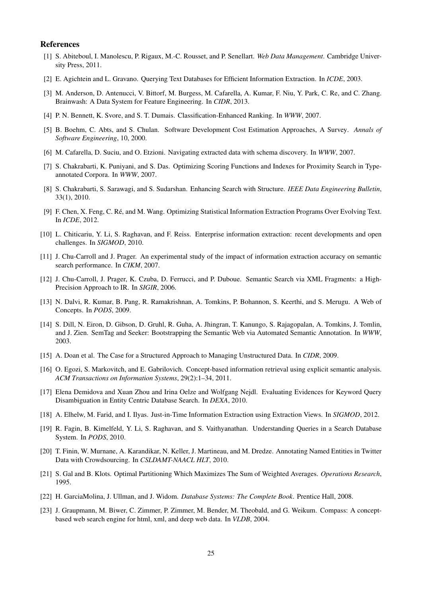# References

- [1] S. Abiteboul, I. Manolescu, P. Rigaux, M.-C. Rousset, and P. Senellart. *Web Data Management*. Cambridge University Press, 2011.
- [2] E. Agichtein and L. Gravano. Querying Text Databases for Efficient Information Extraction. In *ICDE*, 2003.
- [3] M. Anderson, D. Antenucci, V. Bittorf, M. Burgess, M. Cafarella, A. Kumar, F. Niu, Y. Park, C. Re, and C. Zhang. Brainwash: A Data System for Feature Engineering. In *CIDR*, 2013.
- [4] P. N. Bennett, K. Svore, and S. T. Dumais. Classification-Enhanced Ranking. In *WWW*, 2007.
- [5] B. Boehm, C. Abts, and S. Chulan. Software Development Cost Estimation Approaches, A Survey. *Annals of Software Engineering*, 10, 2000.
- [6] M. Cafarella, D. Suciu, and O. Etzioni. Navigating extracted data with schema discovery. In *WWW*, 2007.
- [7] S. Chakrabarti, K. Puniyani, and S. Das. Optimizing Scoring Functions and Indexes for Proximity Search in Typeannotated Corpora. In *WWW*, 2007.
- [8] S. Chakrabarti, S. Sarawagi, and S. Sudarshan. Enhancing Search with Structure. *IEEE Data Engineering Bulletin*, 33(1), 2010.
- [9] F. Chen, X. Feng, C. Ré, and M. Wang. Optimizing Statistical Information Extraction Programs Over Evolving Text. In *ICDE*, 2012.
- [10] L. Chiticariu, Y. Li, S. Raghavan, and F. Reiss. Enterprise information extraction: recent developments and open challenges. In *SIGMOD*, 2010.
- [11] J. Chu-Carroll and J. Prager. An experimental study of the impact of information extraction accuracy on semantic search performance. In *CIKM*, 2007.
- [12] J. Chu-Carroll, J. Prager, K. Czuba, D. Ferrucci, and P. Duboue. Semantic Search via XML Fragments: a High-Precision Approach to IR. In *SIGIR*, 2006.
- [13] N. Dalvi, R. Kumar, B. Pang, R. Ramakrishnan, A. Tomkins, P. Bohannon, S. Keerthi, and S. Merugu. A Web of Concepts. In *PODS*, 2009.
- [14] S. Dill, N. Eiron, D. Gibson, D. Gruhl, R. Guha, A. Jhingran, T. Kanungo, S. Rajagopalan, A. Tomkins, J. Tomlin, and J. Zien. SemTag and Seeker: Bootstrapping the Semantic Web via Automated Semantic Annotation. In *WWW*, 2003.
- [15] A. Doan et al. The Case for a Structured Approach to Managing Unstructured Data. In *CIDR*, 2009.
- [16] O. Egozi, S. Markovitch, and E. Gabrilovich. Concept-based information retrieval using explicit semantic analysis. *ACM Transactions on Information Systems*, 29(2):1–34, 2011.
- [17] Elena Demidova and Xuan Zhou and Irina Oelze and Wolfgang Nejdl. Evaluating Evidences for Keyword Query Disambiguation in Entity Centric Database Search. In *DEXA*, 2010.
- [18] A. Elhelw, M. Farid, and I. Ilyas. Just-in-Time Information Extraction using Extraction Views. In *SIGMOD*, 2012.
- [19] R. Fagin, B. Kimelfeld, Y. Li, S. Raghavan, and S. Vaithyanathan. Understanding Queries in a Search Database System. In *PODS*, 2010.
- [20] T. Finin, W. Murnane, A. Karandikar, N. Keller, J. Martineau, and M. Dredze. Annotating Named Entities in Twitter Data with Crowdsourcing. In *CSLDAMT-NAACL HLT*, 2010.
- [21] S. Gal and B. Klots. Optimal Partitioning Which Maximizes The Sum of Weighted Averages. *Operations Research*, 1995.
- [22] H. GarciaMolina, J. Ullman, and J. Widom. *Database Systems: The Complete Book*. Prentice Hall, 2008.
- [23] J. Graupmann, M. Biwer, C. Zimmer, P. Zimmer, M. Bender, M. Theobald, and G. Weikum. Compass: A conceptbased web search engine for html, xml, and deep web data. In *VLDB*, 2004.